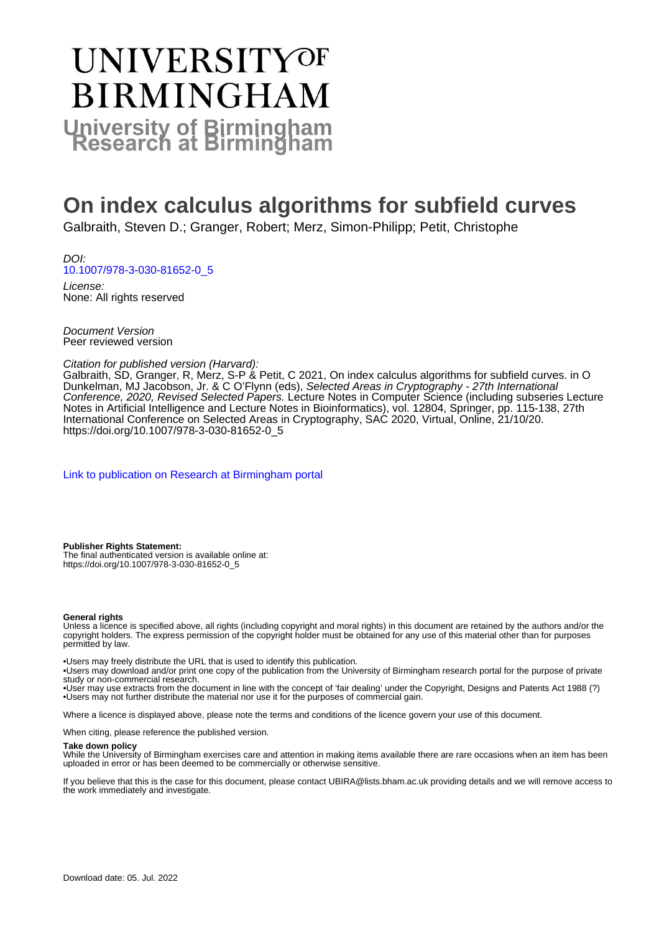# UNIVERSITYOF **BIRMINGHAM University of Birmingham**

# **On index calculus algorithms for subfield curves**

Galbraith, Steven D.; Granger, Robert; Merz, Simon-Philipp; Petit, Christophe

DOI: [10.1007/978-3-030-81652-0\\_5](https://doi.org/10.1007/978-3-030-81652-0_5)

License: None: All rights reserved

Document Version Peer reviewed version

#### Citation for published version (Harvard):

Galbraith, SD, Granger, R, Merz, S-P & Petit, C 2021, On index calculus algorithms for subfield curves. in O Dunkelman, MJ Jacobson, Jr. & C O'Flynn (eds), Selected Areas in Cryptography - 27th International Conference, 2020, Revised Selected Papers. Lecture Notes in Computer Science (including subseries Lecture Notes in Artificial Intelligence and Lecture Notes in Bioinformatics), vol. 12804, Springer, pp. 115-138, 27th International Conference on Selected Areas in Cryptography, SAC 2020, Virtual, Online, 21/10/20. [https://doi.org/10.1007/978-3-030-81652-0\\_5](https://doi.org/10.1007/978-3-030-81652-0_5)

[Link to publication on Research at Birmingham portal](https://birmingham.elsevierpure.com/en/publications/02477690-78b9-4ddb-bc6d-77937e25bfc6)

**Publisher Rights Statement:** The final authenticated version is available online at: https://doi.org/10.1007/978-3-030-81652-0\_5

#### **General rights**

Unless a licence is specified above, all rights (including copyright and moral rights) in this document are retained by the authors and/or the copyright holders. The express permission of the copyright holder must be obtained for any use of this material other than for purposes permitted by law.

• Users may freely distribute the URL that is used to identify this publication.

• Users may download and/or print one copy of the publication from the University of Birmingham research portal for the purpose of private study or non-commercial research.

• User may use extracts from the document in line with the concept of 'fair dealing' under the Copyright, Designs and Patents Act 1988 (?) • Users may not further distribute the material nor use it for the purposes of commercial gain.

Where a licence is displayed above, please note the terms and conditions of the licence govern your use of this document.

When citing, please reference the published version.

#### **Take down policy**

While the University of Birmingham exercises care and attention in making items available there are rare occasions when an item has been uploaded in error or has been deemed to be commercially or otherwise sensitive.

If you believe that this is the case for this document, please contact UBIRA@lists.bham.ac.uk providing details and we will remove access to the work immediately and investigate.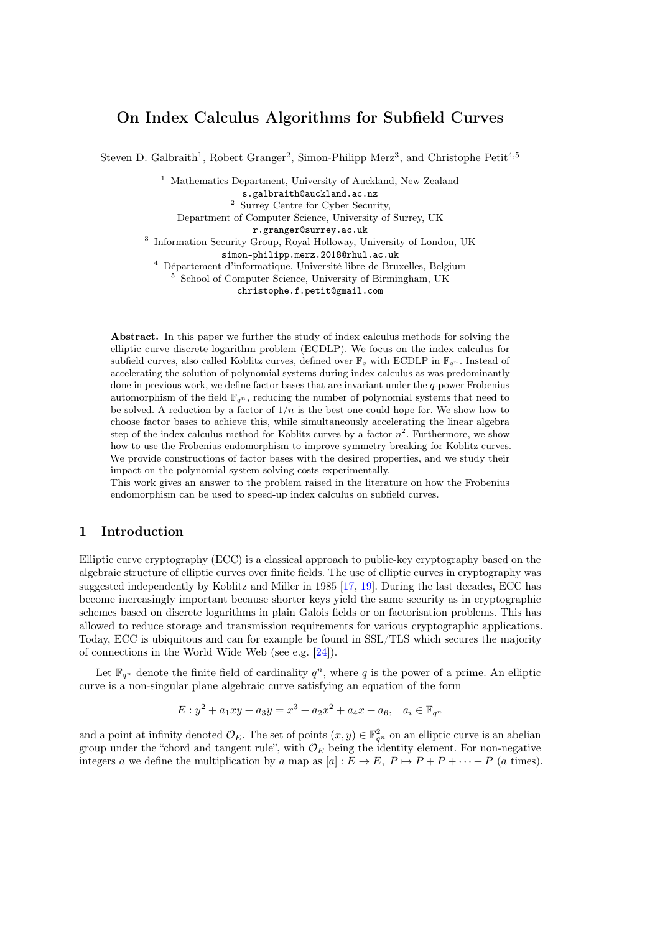# On Index Calculus Algorithms for Subfield Curves

Steven D. Galbraith<sup>1</sup>, Robert Granger<sup>2</sup>, Simon-Philipp Merz<sup>3</sup>, and Christophe Petit<sup>4,5</sup>

<sup>1</sup> Mathematics Department, University of Auckland, New Zealand s.galbraith@auckland.ac.nz

<sup>2</sup> Surrey Centre for Cyber Security,

Department of Computer Science, University of Surrey, UK

r.granger@surrey.ac.uk

<sup>3</sup> Information Security Group, Royal Holloway, University of London, UK

simon-philipp.merz.2018@rhul.ac.uk

<sup>4</sup> Département d'informatique, Université libre de Bruxelles, Belgium

<sup>5</sup> School of Computer Science, University of Birmingham, UK

christophe.f.petit@gmail.com

Abstract. In this paper we further the study of index calculus methods for solving the elliptic curve discrete logarithm problem (ECDLP). We focus on the index calculus for subfield curves, also called Koblitz curves, defined over  $\mathbb{F}_q$  with ECDLP in  $\mathbb{F}_{q^n}$ . Instead of accelerating the solution of polynomial systems during index calculus as was predominantly done in previous work, we define factor bases that are invariant under the  $q$ -power Frobenius automorphism of the field  $\mathbb{F}_{q^n}$ , reducing the number of polynomial systems that need to be solved. A reduction by a factor of  $1/n$  is the best one could hope for. We show how to choose factor bases to achieve this, while simultaneously accelerating the linear algebra step of the index calculus method for Koblitz curves by a factor  $n^2$ . Furthermore, we show how to use the Frobenius endomorphism to improve symmetry breaking for Koblitz curves. We provide constructions of factor bases with the desired properties, and we study their impact on the polynomial system solving costs experimentally.

This work gives an answer to the problem raised in the literature on how the Frobenius endomorphism can be used to speed-up index calculus on subfield curves.

## 1 Introduction

Elliptic curve cryptography (ECC) is a classical approach to public-key cryptography based on the algebraic structure of elliptic curves over finite fields. The use of elliptic curves in cryptography was suggested independently by Koblitz and Miller in 1985 [\[17,](#page-20-0) [19\]](#page-20-1). During the last decades, ECC has become increasingly important because shorter keys yield the same security as in cryptographic schemes based on discrete logarithms in plain Galois fields or on factorisation problems. This has allowed to reduce storage and transmission requirements for various cryptographic applications. Today, ECC is ubiquitous and can for example be found in SSL/TLS which secures the majority of connections in the World Wide Web (see e.g. [\[24\]](#page-20-2)).

Let  $\mathbb{F}_{q^n}$  denote the finite field of cardinality  $q^n$ , where q is the power of a prime. An elliptic curve is a non-singular plane algebraic curve satisfying an equation of the form

$$
E: y^2 + a_1xy + a_3y = x^3 + a_2x^2 + a_4x + a_6, \quad a_i \in \mathbb{F}_{q^n}
$$

and a point at infinity denoted  $\mathcal{O}_E$ . The set of points  $(x, y) \in \mathbb{F}_{q^n}^2$  on an elliptic curve is an abelian group under the "chord and tangent rule", with  $\mathcal{O}_E$  being the identity element. For non-negative integers a we define the multiplication by a map as  $[a] : E \to E$ ,  $P \mapsto P + P + \cdots + P$  (a times).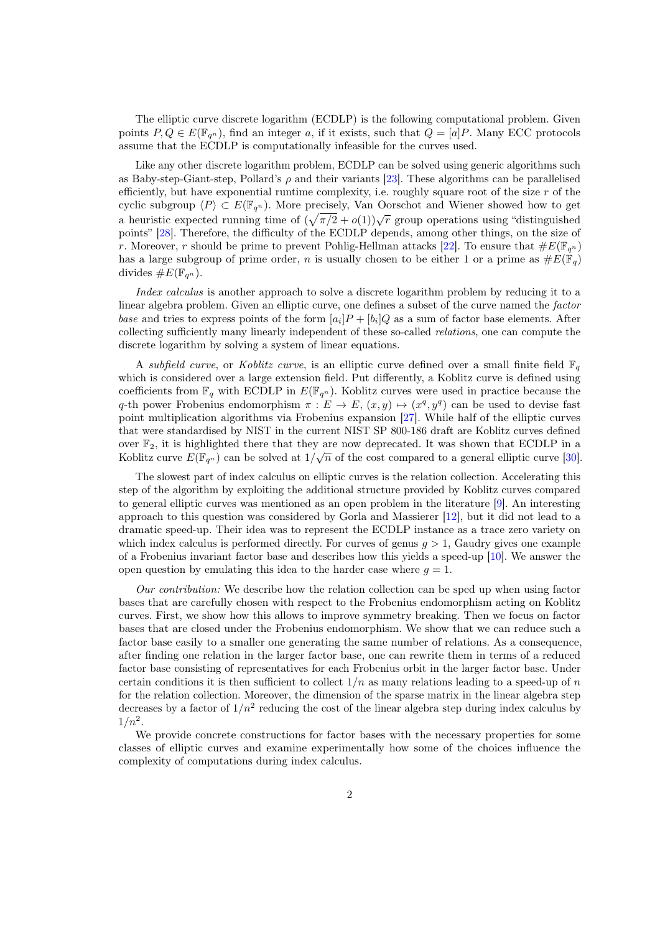The elliptic curve discrete logarithm (ECDLP) is the following computational problem. Given points  $P, Q \in E(\mathbb{F}_{q^n})$ , find an integer a, if it exists, such that  $Q = [a]P$ . Many ECC protocols assume that the ECDLP is computationally infeasible for the curves used.

Like any other discrete logarithm problem, ECDLP can be solved using generic algorithms such as Baby-step-Giant-step, Pollard's  $\rho$  and their variants [\[23\]](#page-20-3). These algorithms can be parallelised efficiently, but have exponential runtime complexity, i.e. roughly square root of the size  $r$  of the cyclic subgroup  $\langle P \rangle \subset E(\mathbb{F}_{q^n})$ . More precisely, Van Oorschot and Wiener showed how to get a heuristic expected running time of  $(\sqrt{\pi/2} + o(1))\sqrt{r}$  group operations using "distinguished" points" [\[28\]](#page-20-4). Therefore, the difficulty of the ECDLP depends, among other things, on the size of r. Moreover, r should be prime to prevent Pohlig-Hellman attacks [\[22\]](#page-20-5). To ensure that  $\#E(\mathbb{F}_{q^n})$ has a large subgroup of prime order, *n* is usually chosen to be either 1 or a prime as  $\#E(\mathbb{F}_q)$ divides  $\#E(\mathbb{F}_{q^n}).$ 

Index calculus is another approach to solve a discrete logarithm problem by reducing it to a linear algebra problem. Given an elliptic curve, one defines a subset of the curve named the *factor* base and tries to express points of the form  $[a_i]P + [b_i]Q$  as a sum of factor base elements. After collecting sufficiently many linearly independent of these so-called relations, one can compute the discrete logarithm by solving a system of linear equations.

A subfield curve, or Koblitz curve, is an elliptic curve defined over a small finite field  $\mathbb{F}_q$ which is considered over a large extension field. Put differently, a Koblitz curve is defined using coefficients from  $\mathbb{F}_q$  with ECDLP in  $E(\mathbb{F}_{q^n})$ . Koblitz curves were used in practice because the q-th power Frobenius endomorphism  $\pi : E \to E$ ,  $(x, y) \mapsto (x^q, y^q)$  can be used to devise fast point multiplication algorithms via Frobenius expansion [\[27\]](#page-20-6). While half of the elliptic curves that were standardised by NIST in the current NIST SP 800-186 draft are Koblitz curves defined over  $\mathbb{F}_2$ , it is highlighted there that they are now deprecated. It was shown that ECDLP in a Koblitz curve  $E(\mathbb{F}_{q^n})$  can be solved at  $1/\sqrt{n}$  of the cost compared to a general elliptic curve [\[30\]](#page-20-7).

The slowest part of index calculus on elliptic curves is the relation collection. Accelerating this step of the algorithm by exploiting the additional structure provided by Koblitz curves compared to general elliptic curves was mentioned as an open problem in the literature [\[9\]](#page-19-0). An interesting approach to this question was considered by Gorla and Massierer [\[12\]](#page-20-8), but it did not lead to a dramatic speed-up. Their idea was to represent the ECDLP instance as a trace zero variety on which index calculus is performed directly. For curves of genus  $q > 1$ , Gaudry gives one example of a Frobenius invariant factor base and describes how this yields a speed-up [\[10\]](#page-19-1). We answer the open question by emulating this idea to the harder case where  $q = 1$ .

Our contribution: We describe how the relation collection can be sped up when using factor bases that are carefully chosen with respect to the Frobenius endomorphism acting on Koblitz curves. First, we show how this allows to improve symmetry breaking. Then we focus on factor bases that are closed under the Frobenius endomorphism. We show that we can reduce such a factor base easily to a smaller one generating the same number of relations. As a consequence, after finding one relation in the larger factor base, one can rewrite them in terms of a reduced factor base consisting of representatives for each Frobenius orbit in the larger factor base. Under certain conditions it is then sufficient to collect  $1/n$  as many relations leading to a speed-up of n for the relation collection. Moreover, the dimension of the sparse matrix in the linear algebra step decreases by a factor of  $1/n^2$  reducing the cost of the linear algebra step during index calculus by  $1/n^2$ .

We provide concrete constructions for factor bases with the necessary properties for some classes of elliptic curves and examine experimentally how some of the choices influence the complexity of computations during index calculus.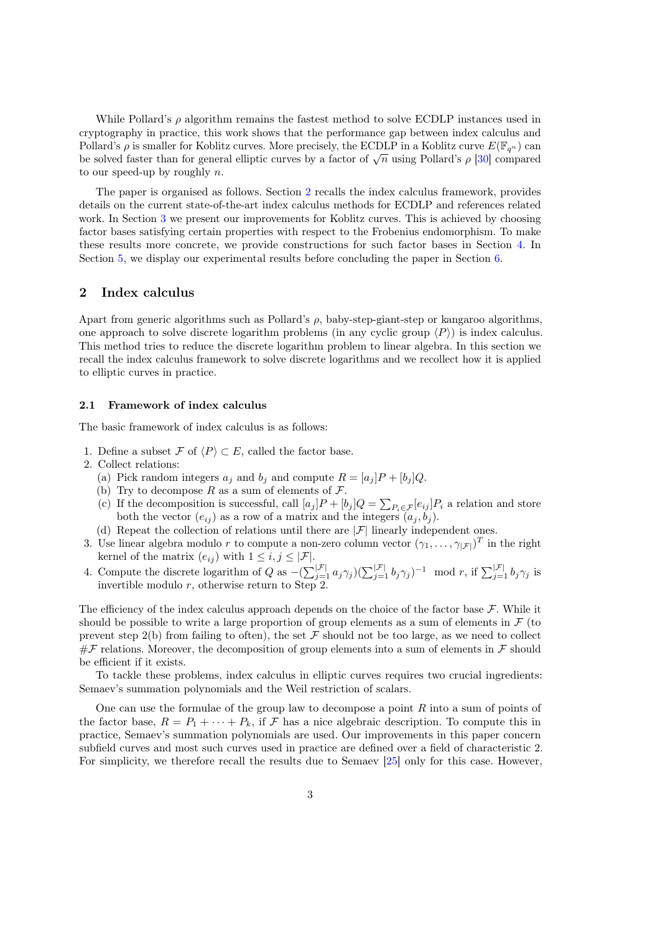While Pollard's  $\rho$  algorithm remains the fastest method to solve ECDLP instances used in cryptography in practice, this work shows that the performance gap between index calculus and Pollard's  $\rho$  is smaller for Koblitz curves. More precisely, the ECDLP in a Koblitz curve  $E(\mathbb{F}_{q^n})$  can Fonard s  $\rho$  is smaller for Koontz curves. More precisely, the ECDLF in a Koontz curve  $E(\mathbb{F}_{q^n})$  can<br>be solved faster than for general elliptic curves by a factor of  $\sqrt{n}$  using Pollard's  $\rho$  [\[30\]](#page-20-7) compared to our speed-up by roughly  $n$ .

The paper is organised as follows. Section [2](#page-3-0) recalls the index calculus framework, provides details on the current state-of-the-art index calculus methods for ECDLP and references related work. In Section [3](#page-7-0) we present our improvements for Koblitz curves. This is achieved by choosing factor bases satisfying certain properties with respect to the Frobenius endomorphism. To make these results more concrete, we provide constructions for such factor bases in Section [4.](#page-11-0) In Section [5,](#page-16-0) we display our experimental results before concluding the paper in Section [6.](#page-18-0)

## <span id="page-3-0"></span>2 Index calculus

Apart from generic algorithms such as Pollard's  $\rho$ , baby-step-giant-step or kangaroo algorithms, one approach to solve discrete logarithm problems (in any cyclic group  $\langle P \rangle$ ) is index calculus. This method tries to reduce the discrete logarithm problem to linear algebra. In this section we recall the index calculus framework to solve discrete logarithms and we recollect how it is applied to elliptic curves in practice.

# 2.1 Framework of index calculus

The basic framework of index calculus is as follows:

- 1. Define a subset  $\mathcal F$  of  $\langle P \rangle \subset E$ , called the factor base.
- 2. Collect relations:
	- (a) Pick random integers  $a_j$  and  $b_j$  and compute  $R = [a_j]P + [b_j]Q$ .
	- (b) Try to decompose R as a sum of elements of  $\mathcal{F}$ .
	- (c) If the decomposition is successful, call  $[a_j]P + [b_j]Q = \sum_{P_i \in \mathcal{F}} [e_{ij}]P_i$  a relation and store both the vector  $(e_{ij})$  as a row of a matrix and the integers  $(a_j, b_j)$ .
	- (d) Repeat the collection of relations until there are  $|\mathcal{F}|$  linearly independent ones.
- 3. Use linear algebra modulo r to compute a non-zero column vector  $(\gamma_1, \ldots, \gamma_{|\mathcal{F}|})^T$  in the right kernel of the matrix  $(e_{ij})$  with  $1 \leq i, j \leq |\mathcal{F}|$ .
- 4. Compute the discrete logarithm of Q as  $-(\sum_{j=1}^{|\mathcal{F}|} a_j \gamma_j)(\sum_{j=1}^{|\mathcal{F}|} b_j \gamma_j)^{-1} \mod r$ , if  $\sum_{j=1}^{|\mathcal{F}|} b_j \gamma_j$  is invertible modulo  $r$ , otherwise return to Step 2.

The efficiency of the index calculus approach depends on the choice of the factor base  $\mathcal F$ . While it should be possible to write a large proportion of group elements as a sum of elements in  $\mathcal F$  (to prevent step 2(b) from failing to often), the set  $\mathcal F$  should not be too large, as we need to collect  $#F$  relations. Moreover, the decomposition of group elements into a sum of elements in F should be efficient if it exists.

To tackle these problems, index calculus in elliptic curves requires two crucial ingredients: Semaev's summation polynomials and the Weil restriction of scalars.

One can use the formulae of the group law to decompose a point  $R$  into a sum of points of the factor base,  $R = P_1 + \cdots + P_k$ , if  $\mathcal F$  has a nice algebraic description. To compute this in practice, Semaev's summation polynomials are used. Our improvements in this paper concern subfield curves and most such curves used in practice are defined over a field of characteristic 2. For simplicity, we therefore recall the results due to Semaev [\[25\]](#page-20-9) only for this case. However,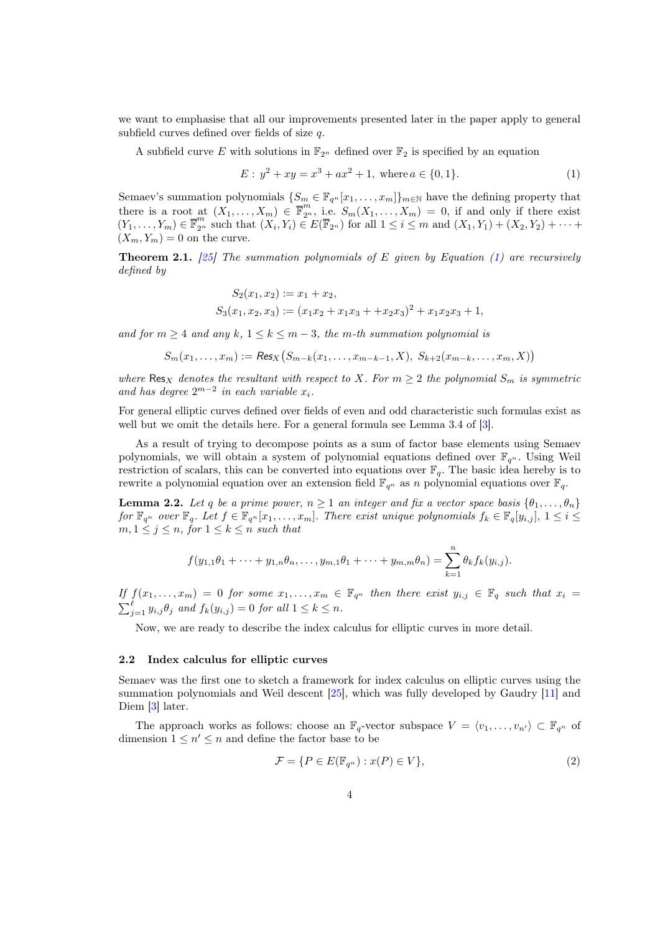we want to emphasise that all our improvements presented later in the paper apply to general subfield curves defined over fields of size  $q$ .

A subfield curve E with solutions in  $\mathbb{F}_{2^n}$  defined over  $\mathbb{F}_2$  is specified by an equation

<span id="page-4-0"></span>
$$
E: y^2 + xy = x^3 + ax^2 + 1, \text{ where } a \in \{0, 1\}. \tag{1}
$$

Semaev's summation polynomials  $\{S_m \in \mathbb{F}_{q^n}[x_1,\ldots,x_m]\}_{m\in\mathbb{N}}$  have the defining property that there is a root at  $(X_1, \ldots, X_m) \in \overline{\mathbb{F}}_2^m$ , i.e.  $S_m(X_1, \ldots, X_m) = 0$ , if and only if there exist  $(Y_1, \ldots, Y_m) \in \overline{\mathbb{F}}_{2^n}^m$  such that  $(X_i, Y_i) \in E(\overline{\mathbb{F}}_{2^n})$  for all  $1 \leq i \leq m$  and  $(X_1, Y_1) + (X_2, Y_2) + \cdots$  $(X_m, Y_m) = 0$  on the curve.

**Theorem 2.1.** [\[25\]](#page-20-9) The summation polynomials of E given by Equation [\(1\)](#page-4-0) are recursively defined by

$$
S_2(x_1, x_2) := x_1 + x_2,
$$
  
\n
$$
S_3(x_1, x_2, x_3) := (x_1x_2 + x_1x_3 + x_2x_3)^2 + x_1x_2x_3 + 1,
$$

and for  $m \geq 4$  and any  $k, 1 \leq k \leq m-3$ , the m-th summation polynomial is

$$
S_m(x_1,...,x_m) := \text{Res}_X(S_{m-k}(x_1,...,x_{m-k-1},X), S_{k+2}(x_{m-k},...,x_m,X))
$$

where  $\text{Res}_X$  denotes the resultant with respect to X. For  $m \geq 2$  the polynomial  $S_m$  is symmetric and has degree  $2^{m-2}$  in each variable  $x_i$ .

For general elliptic curves defined over fields of even and odd characteristic such formulas exist as well but we omit the details here. For a general formula see Lemma 3.4 of [\[3\]](#page-19-2).

As a result of trying to decompose points as a sum of factor base elements using Semaev polynomials, we will obtain a system of polynomial equations defined over  $\mathbb{F}_{q^n}$ . Using Weil restriction of scalars, this can be converted into equations over  $\mathbb{F}_q$ . The basic idea hereby is to rewrite a polynomial equation over an extension field  $\mathbb{F}_{q^n}$  as n polynomial equations over  $\mathbb{F}_q$ .

**Lemma 2.2.** Let q be a prime power,  $n \geq 1$  an integer and fix a vector space basis  $\{\theta_1, \ldots, \theta_n\}$ for  $\mathbb{F}_{q^n}$  over  $\mathbb{F}_q$ . Let  $f \in \mathbb{F}_{q^n}[x_1,\ldots,x_m]$ . There exist unique polynomials  $f_k \in \mathbb{F}_q[y_{i,j}], 1 \leq i \leq j$  $m, 1 \leq j \leq n$ , for  $1 \leq k \leq n$  such that

<span id="page-4-1"></span>
$$
f(y_{1,1}\theta_1 + \dots + y_{1,n}\theta_n, \dots, y_{m,1}\theta_1 + \dots + y_{m,m}\theta_n) = \sum_{k=1}^n \theta_k f_k(y_{i,j}).
$$

If  $f(x_1, \ldots, x_m) = 0$  for some  $x_1, \ldots, x_m \in \mathbb{F}_{q^n}$  then there exist  $y_{i,j} \in \mathbb{F}_q$  such that  $x_i =$  $\sum_{j=1}^{\ell} y_{i,j} \theta_j$  and  $f_k(y_{i,j}) = 0$  for all  $1 \leq k \leq n$ .

Now, we are ready to describe the index calculus for elliptic curves in more detail.

#### <span id="page-4-3"></span>2.2 Index calculus for elliptic curves

Semaev was the first one to sketch a framework for index calculus on elliptic curves using the summation polynomials and Weil descent [\[25\]](#page-20-9), which was fully developed by Gaudry [\[11\]](#page-20-10) and Diem [\[3\]](#page-19-2) later.

The approach works as follows: choose an  $\mathbb{F}_q$ -vector subspace  $V = \langle v_1, \ldots, v_{n'} \rangle \subset \mathbb{F}_{q^n}$  of dimension  $1 \leq n' \leq n$  and define the factor base to be

<span id="page-4-2"></span>
$$
\mathcal{F} = \{ P \in E(\mathbb{F}_{q^n}) : x(P) \in V \},\tag{2}
$$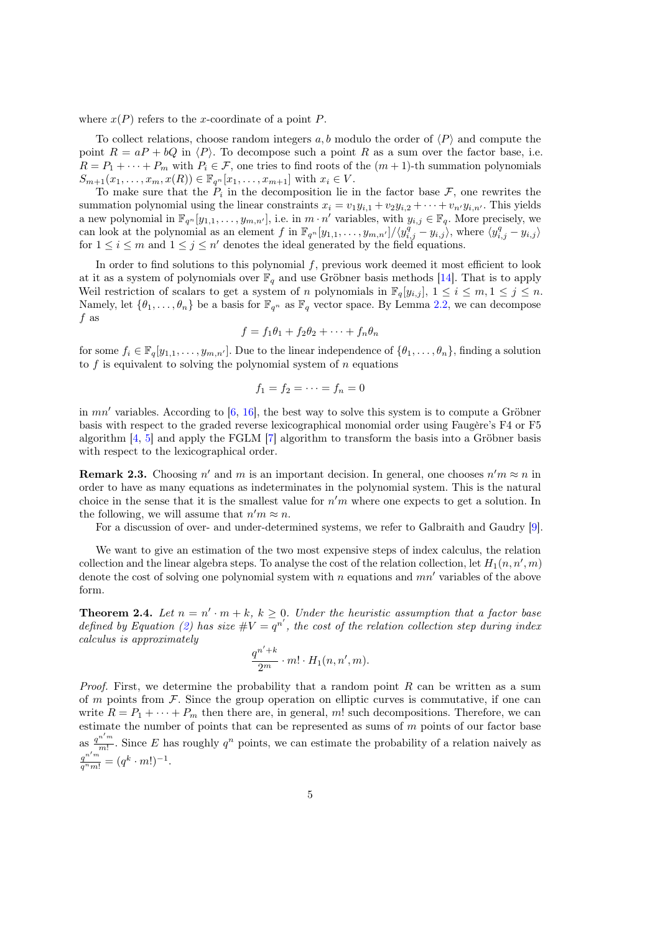where  $x(P)$  refers to the x-coordinate of a point P.

To collect relations, choose random integers  $a, b$  modulo the order of  $\langle P \rangle$  and compute the point  $R = aP + bQ$  in  $\langle P \rangle$ . To decompose such a point R as a sum over the factor base, i.e.  $R = P_1 + \cdots + P_m$  with  $P_i \in \mathcal{F}$ , one tries to find roots of the  $(m + 1)$ -th summation polynomials  $S_{m+1}(x_1, \ldots, x_m, x(R)) \in \mathbb{F}_{q^n}[x_1, \ldots, x_{m+1}]$  with  $x_i \in V$ .

To make sure that the  $P_i$  in the decomposition lie in the factor base  $\mathcal{F}$ , one rewrites the summation polynomial using the linear constraints  $x_i = v_1 y_{i,1} + v_2 y_{i,2} + \cdots + v_{n'} y_{i,n'}$ . This yields a new polynomial in  $\mathbb{F}_{q^n}[y_{1,1},\ldots,y_{m,n'}],$  i.e. in  $m \cdot n'$  variables, with  $y_{i,j} \in \mathbb{F}_q$ . More precisely, we can look at the polynomial as an element f in  $\mathbb{F}_{q^n}[y_{1,1},\ldots,y_{m,n'}]/\langle y_{i,j}^q-y_{i,j}\rangle$ , where  $\langle y_{i,j}^q-y_{i,j}\rangle$ for  $1 \leq i \leq m$  and  $1 \leq j \leq n'$  denotes the ideal generated by the field equations.

In order to find solutions to this polynomial  $f$ , previous work deemed it most efficient to look at it as a system of polynomials over  $\mathbb{F}_q$  and use Gröbner basis methods [\[14\]](#page-20-11). That is to apply Weil restriction of scalars to get a system of *n* polynomials in  $\mathbb{F}_q[y_{i,j}], 1 \leq i \leq m, 1 \leq j \leq n$ . Namely, let  $\{\theta_1, \ldots, \theta_n\}$  be a basis for  $\mathbb{F}_{q^n}$  as  $\mathbb{F}_q$  vector space. By Lemma [2.2,](#page-4-1) we can decompose  $f$  as

$$
f = f_1 \theta_1 + f_2 \theta_2 + \dots + f_n \theta_n
$$

for some  $f_i \in \mathbb{F}_q[y_{1,1}, \ldots, y_{m,n'}]$ . Due to the linear independence of  $\{\theta_1, \ldots, \theta_n\}$ , finding a solution to  $f$  is equivalent to solving the polynomial system of  $n$  equations

$$
f_1=f_2=\cdots=f_n=0
$$

in  $mn'$  variables. According to [\[6,](#page-19-3) [16\]](#page-20-12), the best way to solve this system is to compute a Gröbner basis with respect to the graded reverse lexicographical monomial order using Faugère's F4 or F5 algorithm [\[4,](#page-19-4) [5\]](#page-19-5) and apply the FGLM [\[7\]](#page-19-6) algorithm to transform the basis into a Gröbner basis with respect to the lexicographical order.

**Remark 2.3.** Choosing  $n'$  and  $m$  is an important decision. In general, one chooses  $n'm \approx n$  in order to have as many equations as indeterminates in the polynomial system. This is the natural choice in the sense that it is the smallest value for  $n'm$  where one expects to get a solution. In the following, we will assume that  $n'm \approx n$ .

For a discussion of over- and under-determined systems, we refer to Galbraith and Gaudry [\[9\]](#page-19-0).

We want to give an estimation of the two most expensive steps of index calculus, the relation collection and the linear algebra steps. To analyse the cost of the relation collection, let  $H_1(n, n', m)$ denote the cost of solving one polynomial system with *n* equations and  $mn'$  variables of the above form.

<span id="page-5-0"></span>**Theorem 2.4.** Let  $n = n' \cdot m + k$ ,  $k \geq 0$ . Under the heuristic assumption that a factor base defined by Equation [\(2\)](#page-4-2) has size  $\#V = q^{n'}$ , the cost of the relation collection step during index calculus is approximately

$$
\frac{q^{n'+k}}{2^m} \cdot m! \cdot H_1(n, n', m).
$$

*Proof.* First, we determine the probability that a random point  $R$  can be written as a sum of  $m$  points from  $\mathcal F$ . Since the group operation on elliptic curves is commutative, if one can write  $R = P_1 + \cdots + P_m$  then there are, in general, m! such decompositions. Therefore, we can estimate the number of points that can be represented as sums of  $m$  points of our factor base as  $\frac{q^{n'm}}{m!}$  $\frac{n^m}{m!}$ . Since E has roughly  $q^n$  points, we can estimate the probability of a relation naively as  $\frac{q^{n'm}}{q^nm!} = (q^k \cdot m!)^{-1}.$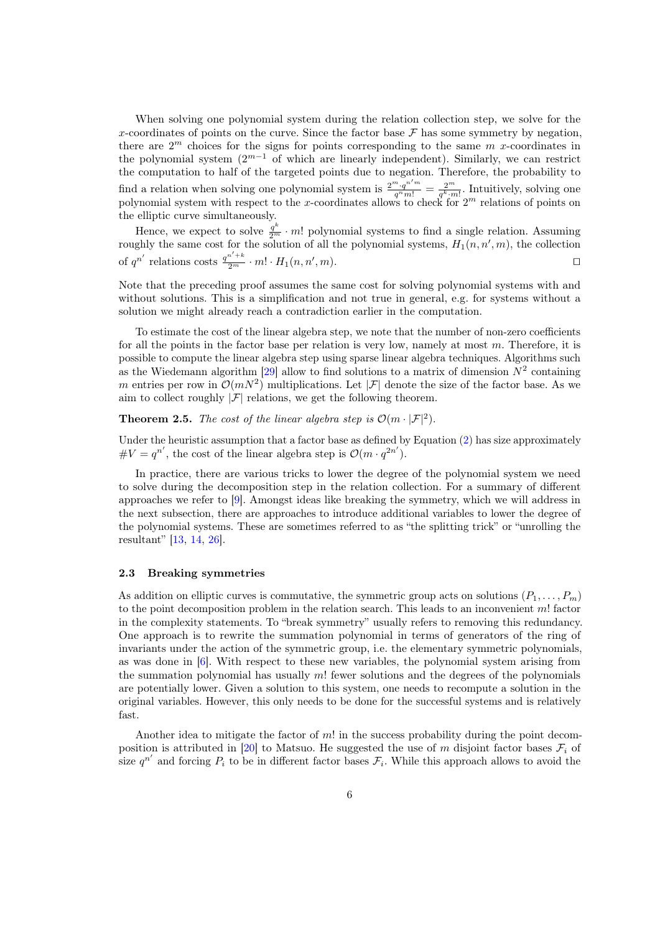When solving one polynomial system during the relation collection step, we solve for the x-coordinates of points on the curve. Since the factor base  $\mathcal F$  has some symmetry by negation. there are  $2^m$  choices for the signs for points corresponding to the same  $m$  x-coordinates in the polynomial system  $(2^{m-1}$  of which are linearly independent). Similarly, we can restrict the computation to half of the targeted points due to negation. Therefore, the probability to find a relation when solving one polynomial system is  $\frac{2^m \cdot q^{n/m}}{q^m m!} = \frac{2^m}{q^k \cdot m!}$ . Intuitively, solving one polynomial system with respect to the x-coordinates allows to check for  $2<sup>m</sup>$  relations of points on the elliptic curve simultaneously.

Hence, we expect to solve  $\frac{q^k}{2^m} \cdot m!$  polynomial systems to find a single relation. Assuming roughly the same cost for the solution of all the polynomial systems,  $H_1(n, n', m)$ , the collection of  $q^{n'}$  relations costs  $\frac{q^{n'+k}}{2^m} \cdot m! \cdot H_1(n, n', m)$ .

Note that the preceding proof assumes the same cost for solving polynomial systems with and without solutions. This is a simplification and not true in general, e.g. for systems without a solution we might already reach a contradiction earlier in the computation.

To estimate the cost of the linear algebra step, we note that the number of non-zero coefficients for all the points in the factor base per relation is very low, namely at most  $m$ . Therefore, it is possible to compute the linear algebra step using sparse linear algebra techniques. Algorithms such as the Wiedemann algorithm [\[29\]](#page-20-13) allow to find solutions to a matrix of dimension  $N^2$  containing m entries per row in  $\mathcal{O}(mN^2)$  multiplications. Let  $|\mathcal{F}|$  denote the size of the factor base. As we aim to collect roughly  $|\mathcal{F}|$  relations, we get the following theorem.

<span id="page-6-0"></span>**Theorem 2.5.** The cost of the linear algebra step is  $\mathcal{O}(m \cdot |\mathcal{F}|^2)$ .

Under the heuristic assumption that a factor base as defined by Equation [\(2\)](#page-4-2) has size approximately  $\#V = q^{n'}$ , the cost of the linear algebra step is  $\mathcal{O}(m \cdot q^{2n'})$ .

In practice, there are various tricks to lower the degree of the polynomial system we need to solve during the decomposition step in the relation collection. For a summary of different approaches we refer to [\[9\]](#page-19-0). Amongst ideas like breaking the symmetry, which we will address in the next subsection, there are approaches to introduce additional variables to lower the degree of the polynomial systems. These are sometimes referred to as "the splitting trick" or "unrolling the resultant" [\[13,](#page-20-14) [14,](#page-20-11) [26\]](#page-20-15).

#### <span id="page-6-1"></span>2.3 Breaking symmetries

As addition on elliptic curves is commutative, the symmetric group acts on solutions  $(P_1, \ldots, P_m)$ to the point decomposition problem in the relation search. This leads to an inconvenient  $m!$  factor in the complexity statements. To "break symmetry" usually refers to removing this redundancy. One approach is to rewrite the summation polynomial in terms of generators of the ring of invariants under the action of the symmetric group, i.e. the elementary symmetric polynomials, as was done in [\[6\]](#page-19-3). With respect to these new variables, the polynomial system arising from the summation polynomial has usually  $m!$  fewer solutions and the degrees of the polynomials are potentially lower. Given a solution to this system, one needs to recompute a solution in the original variables. However, this only needs to be done for the successful systems and is relatively fast.

Another idea to mitigate the factor of  $m!$  in the success probability during the point decom-position is attributed in [\[20\]](#page-20-16) to Matsuo. He suggested the use of m disjoint factor bases  $\mathcal{F}_i$  of size  $q^{n'}$  and forcing  $P_i$  to be in different factor bases  $\mathcal{F}_i$ . While this approach allows to avoid the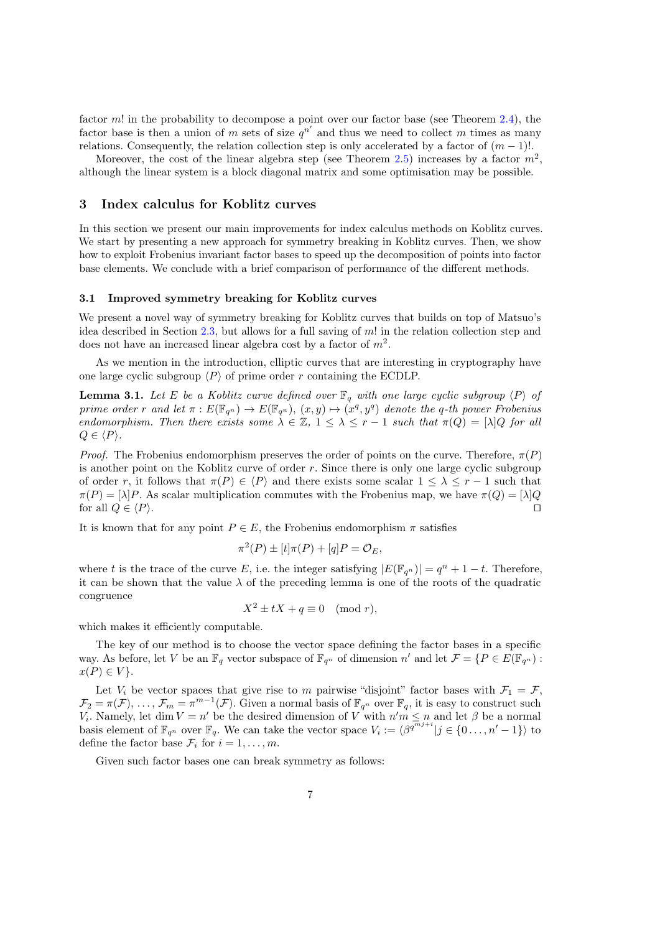factor  $m!$  in the probability to decompose a point over our factor base (see Theorem [2.4\)](#page-5-0), the factor base is then a union of m sets of size  $q^{n'}$  and thus we need to collect m times as many relations. Consequently, the relation collection step is only accelerated by a factor of  $(m-1)!$ .

Moreover, the cost of the linear algebra step (see Theorem [2.5\)](#page-6-0) increases by a factor  $m^2$ , although the linear system is a block diagonal matrix and some optimisation may be possible.

# <span id="page-7-0"></span>3 Index calculus for Koblitz curves

In this section we present our main improvements for index calculus methods on Koblitz curves. We start by presenting a new approach for symmetry breaking in Koblitz curves. Then, we show how to exploit Frobenius invariant factor bases to speed up the decomposition of points into factor base elements. We conclude with a brief comparison of performance of the different methods.

#### 3.1 Improved symmetry breaking for Koblitz curves

We present a novel way of symmetry breaking for Koblitz curves that builds on top of Matsuo's idea described in Section [2.3,](#page-6-1) but allows for a full saving of  $m!$  in the relation collection step and does not have an increased linear algebra cost by a factor of  $m^2$ .

As we mention in the introduction, elliptic curves that are interesting in cryptography have one large cyclic subgroup  $\langle P \rangle$  of prime order r containing the ECDLP.

<span id="page-7-1"></span>**Lemma 3.1.** Let E be a Koblitz curve defined over  $\mathbb{F}_q$  with one large cyclic subgroup  $\langle P \rangle$  of prime order r and let  $\pi : E(\mathbb{F}_{q^n}) \to E(\mathbb{F}_{q^n}), (x, y) \mapsto (x^q, y^q)$  denote the q-th power Frobenius endomorphism. Then there exists some  $\lambda \in \mathbb{Z}$ ,  $1 \leq \lambda \leq r-1$  such that  $\pi(Q) = [\lambda]Q$  for all  $Q \in \langle P \rangle$ .

*Proof.* The Frobenius endomorphism preserves the order of points on the curve. Therefore,  $\pi(P)$ is another point on the Koblitz curve of order  $r$ . Since there is only one large cyclic subgroup of order r, it follows that  $\pi(P) \in \langle P \rangle$  and there exists some scalar  $1 \leq \lambda \leq r-1$  such that  $\pi(P) = [\lambda]P$ . As scalar multiplication commutes with the Frobenius map, we have  $\pi(Q) = [\lambda]Q$ for all  $Q \in \langle P \rangle$ .

It is known that for any point  $P \in E$ , the Frobenius endomorphism  $\pi$  satisfies

$$
\pi^2(P) \pm [t]\pi(P) + [q]P = \mathcal{O}_E,
$$

where t is the trace of the curve E, i.e. the integer satisfying  $|E(\mathbb{F}_{q^n})| = q^n + 1 - t$ . Therefore, it can be shown that the value  $\lambda$  of the preceding lemma is one of the roots of the quadratic congruence

$$
X^2 \pm tX + q \equiv 0 \pmod{r},
$$

which makes it efficiently computable.

The key of our method is to choose the vector space defining the factor bases in a specific way. As before, let V be an  $\mathbb{F}_q$  vector subspace of  $\mathbb{F}_{q^n}$  of dimension n' and let  $\mathcal{F} = \{P \in E(\mathbb{F}_{q^n}) :$  $x(P) \in V$ .

Let  $V_i$  be vector spaces that give rise to m pairwise "disjoint" factor bases with  $\mathcal{F}_1 = \mathcal{F}$ ,  $\mathcal{F}_2 = \pi(\mathcal{F}), \ldots, \mathcal{F}_m = \pi^{m-1}(\mathcal{F}).$  Given a normal basis of  $\mathbb{F}_{q^n}$  over  $\mathbb{F}_q$ , it is easy to construct such  $V_i$ . Namely, let dim  $V = n'$  be the desired dimension of V with  $n'm \leq n$  and let  $\beta$  be a normal basis element of  $\mathbb{F}_{q^n}$  over  $\mathbb{F}_q$ . We can take the vector space  $V_i := \langle \beta^{q^{\overline{m_j}+i}} | j \in \{0, \ldots, n'-1\} \rangle$  to define the factor base  $\mathcal{F}_i$  for  $i = 1, \ldots, m$ .

Given such factor bases one can break symmetry as follows: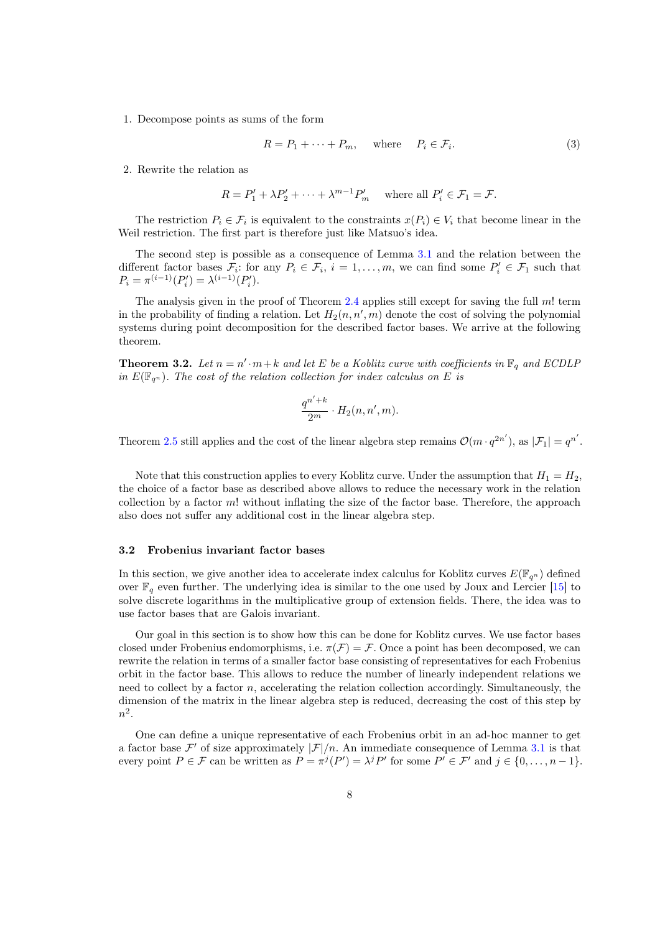1. Decompose points as sums of the form

$$
R = P_1 + \dots + P_m, \quad \text{where} \quad P_i \in \mathcal{F}_i. \tag{3}
$$

2. Rewrite the relation as

$$
R = P'_1 + \lambda P'_2 + \dots + \lambda^{m-1} P'_m \quad \text{where all } P'_i \in \mathcal{F}_1 = \mathcal{F}.
$$

The restriction  $P_i \in \mathcal{F}_i$  is equivalent to the constraints  $x(P_i) \in V_i$  that become linear in the Weil restriction. The first part is therefore just like Matsuo's idea.

The second step is possible as a consequence of Lemma [3.1](#page-7-1) and the relation between the different factor bases  $\mathcal{F}_i$ : for any  $P_i \in \mathcal{F}_i$ ,  $i = 1, \ldots, m$ , we can find some  $P'_i \in \mathcal{F}_1$  such that  $P_i = \pi^{(i-1)}(P'_i) = \lambda^{(i-1)}(P'_i).$ 

The analysis given in the proof of Theorem [2.4](#page-5-0) applies still except for saving the full  $m!$  term in the probability of finding a relation. Let  $H_2(n, n', m)$  denote the cost of solving the polynomial systems during point decomposition for the described factor bases. We arrive at the following theorem.

**Theorem 3.2.** Let  $n = n' \cdot m + k$  and let E be a Koblitz curve with coefficients in  $\mathbb{F}_q$  and ECDLP in  $E(\mathbb{F}_{q^n})$ . The cost of the relation collection for index calculus on E is

$$
\frac{q^{n'+k}}{2^m} \cdot H_2(n, n', m).
$$

Theorem [2.5](#page-6-0) still applies and the cost of the linear algebra step remains  $\mathcal{O}(m \cdot q^{2n'})$ , as  $|\mathcal{F}_1| = q^{n'}$ .

Note that this construction applies to every Koblitz curve. Under the assumption that  $H_1 = H_2$ , the choice of a factor base as described above allows to reduce the necessary work in the relation collection by a factor  $m!$  without inflating the size of the factor base. Therefore, the approach also does not suffer any additional cost in the linear algebra step.

#### 3.2 Frobenius invariant factor bases

In this section, we give another idea to accelerate index calculus for Koblitz curves  $E(\mathbb{F}_{q^n})$  defined over  $\mathbb{F}_q$  even further. The underlying idea is similar to the one used by Joux and Lercier [\[15\]](#page-20-17) to solve discrete logarithms in the multiplicative group of extension fields. There, the idea was to use factor bases that are Galois invariant.

Our goal in this section is to show how this can be done for Koblitz curves. We use factor bases closed under Frobenius endomorphisms, i.e.  $\pi(\mathcal{F}) = \mathcal{F}$ . Once a point has been decomposed, we can rewrite the relation in terms of a smaller factor base consisting of representatives for each Frobenius orbit in the factor base. This allows to reduce the number of linearly independent relations we need to collect by a factor  $n$ , accelerating the relation collection accordingly. Simultaneously, the dimension of the matrix in the linear algebra step is reduced, decreasing the cost of this step by  $n^2$ .

One can define a unique representative of each Frobenius orbit in an ad-hoc manner to get a factor base  $\mathcal{F}'$  of size approximately  $|\mathcal{F}|/n$ . An immediate consequence of Lemma [3.1](#page-7-1) is that every point  $P \in \mathcal{F}$  can be written as  $P = \pi^j(P') = \lambda^j P'$  for some  $P' \in \mathcal{F}'$  and  $j \in \{0, \ldots, n-1\}$ .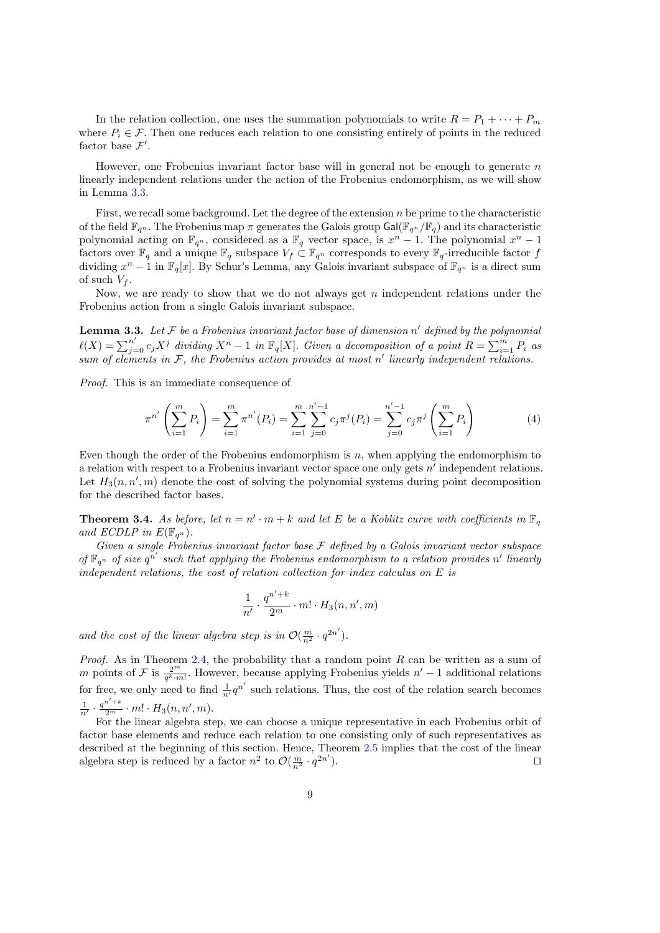In the relation collection, one uses the summation polynomials to write  $R = P_1 + \cdots + P_m$ where  $P_i \in \mathcal{F}$ . Then one reduces each relation to one consisting entirely of points in the reduced factor base  $\mathcal{F}'$ .

However, one Frobenius invariant factor base will in general not be enough to generate  $n$ linearly independent relations under the action of the Frobenius endomorphism, as we will show in Lemma [3.3.](#page-9-0)

First, we recall some background. Let the degree of the extension  $n$  be prime to the characteristic of the field  $\mathbb{F}_{q^n}$ . The Frobenius map  $\pi$  generates the Galois group Gal( $\mathbb{F}_{q^n}/\mathbb{F}_q$ ) and its characteristic polynomial acting on  $\mathbb{F}_{q^n}$ , considered as a  $\mathbb{F}_q$  vector space, is  $x^n - 1$ . The polynomial  $x^n - 1$ factors over  $\mathbb{F}_q$  and a unique  $\mathbb{F}_q$  subspace  $V_f \subset \mathbb{F}_{q^n}$  corresponds to every  $\mathbb{F}_q$ -irreducible factor f dividing  $x^n - 1$  in  $\mathbb{F}_q[x]$ . By Schur's Lemma, any Galois invariant subspace of  $\mathbb{F}_{q^n}$  is a direct sum of such  $V_f$ .

Now, we are ready to show that we do not always get  $n$  independent relations under the Frobenius action from a single Galois invariant subspace.

<span id="page-9-0"></span>**Lemma 3.3.** Let F be a Frobenius invariant factor base of dimension n' defined by the polynomial  $\ell(X) = \sum_{j=0}^{n'} c_j X^j$  dividing  $X^n - 1$  in  $\mathbb{F}_q[X]$ . Given a decomposition of a point  $R = \sum_{i=1}^{m} P_i$  as sum of elements in  $F$ , the Frobenius action provides at most  $n'$  linearly independent relations.

Proof. This is an immediate consequence of

<span id="page-9-1"></span>
$$
\pi^{n'}\left(\sum_{i=1}^{m} P_i\right) = \sum_{i=1}^{m} \pi^{n'}(P_i) = \sum_{i=1}^{m} \sum_{j=0}^{n'-1} c_j \pi^j(P_i) = \sum_{j=0}^{n'-1} c_j \pi^j\left(\sum_{i=1}^{m} P_i\right)
$$
(4)

Even though the order of the Frobenius endomorphism is  $n$ , when applying the endomorphism to a relation with respect to a Frobenius invariant vector space one only gets  $n'$  independent relations. Let  $H_3(n, n', m)$  denote the cost of solving the polynomial systems during point decomposition for the described factor bases.

**Theorem 3.4.** As before, let  $n = n' \cdot m + k$  and let E be a Koblitz curve with coefficients in  $\mathbb{F}_q$ and ECDLP in  $E(\mathbb{F}_{q^n})$ .

Given a single Frobenius invariant factor base  $\mathcal F$  defined by a Galois invariant vector subspace of  $\mathbb{F}_{q^n}$  of size  $q^{n'}$  such that applying the Frobenius endomorphism to a relation provides n' linearly independent relations, the cost of relation collection for index calculus on  $E$  is

$$
\frac{1}{n'}\cdot \frac{q^{n'+k}}{2^m}\cdot m!\cdot H_3(n,n',m)
$$

and the cost of the linear algebra step is in  $\mathcal{O}(\frac{m}{n^2} \cdot q^{2n'})$ .

*Proof.* As in Theorem [2.4,](#page-5-0) the probability that a random point  $R$  can be written as a sum of m points of F is  $\frac{2^m}{q^k \cdot m!}$ . However, because applying Frobenius yields  $n' - 1$  additional relations for free, we only need to find  $\frac{1}{n'}q^{n'}$  such relations. Thus, the cost of the relation search becomes  $\frac{1}{n'} \cdot \frac{q^{n'+k}}{2^m} \cdot m! \cdot H_3(n,n',m).$ 

For the linear algebra step, we can choose a unique representative in each Frobenius orbit of factor base elements and reduce each relation to one consisting only of such representatives as described at the beginning of this section. Hence, Theorem [2.5](#page-6-0) implies that the cost of the linear algebra step is reduced by a factor  $n^2$  to  $\mathcal{O}\left(\frac{m}{n^2}\cdot q^{2n'}\right)$ ). ⊓⊔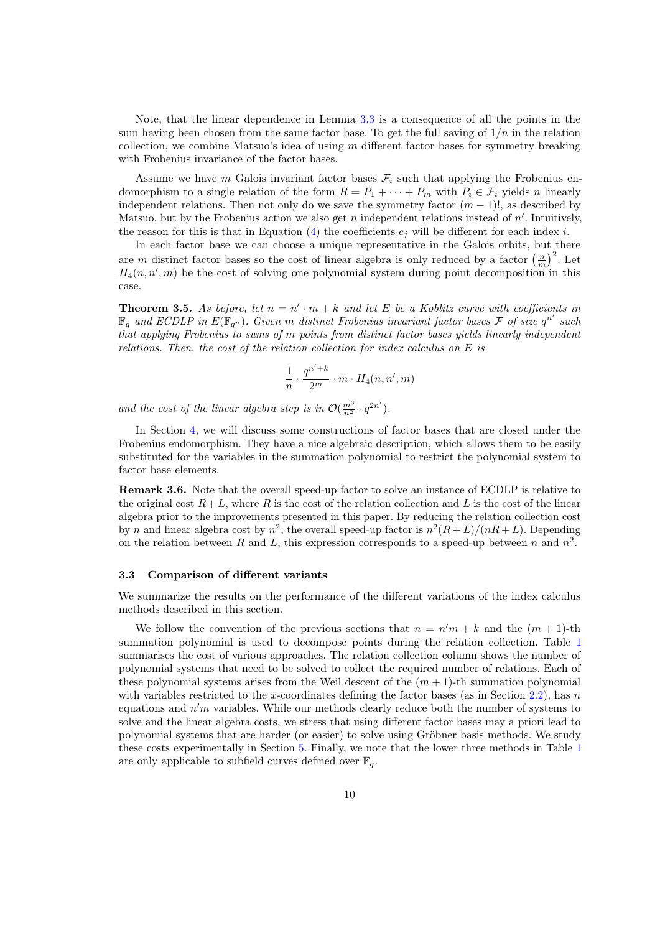Note, that the linear dependence in Lemma [3.3](#page-9-0) is a consequence of all the points in the sum having been chosen from the same factor base. To get the full saving of  $1/n$  in the relation collection, we combine Matsuo's idea of using  $m$  different factor bases for symmetry breaking with Frobenius invariance of the factor bases.

Assume we have *m* Galois invariant factor bases  $\mathcal{F}_i$  such that applying the Frobenius endomorphism to a single relation of the form  $R = P_1 + \cdots + P_m$  with  $P_i \in \mathcal{F}_i$  yields *n* linearly independent relations. Then not only do we save the symmetry factor  $(m-1)!$ , as described by Matsuo, but by the Frobenius action we also get  $n$  independent relations instead of  $n'$ . Intuitively, the reason for this is that in Equation [\(4\)](#page-9-1) the coefficients  $c_j$  will be different for each index i.

In each factor base we can choose a unique representative in the Galois orbits, but there are m distinct factor bases so the cost of linear algebra is only reduced by a factor  $\left(\frac{n}{m}\right)^2$ . Let  $H_4(n, n', m)$  be the cost of solving one polynomial system during point decomposition in this case.

**Theorem 3.5.** As before, let  $n = n' \cdot m + k$  and let E be a Koblitz curve with coefficients in  $\mathbb{F}_q$  and ECDLP in  $E(\mathbb{F}_{q^n})$ . Given m distinct Frobenius invariant factor bases  $\mathcal F$  of size  $q^{n'}$  such that applying Frobenius to sums of  $m$  points from distinct factor bases yields linearly independent relations. Then, the cost of the relation collection for index calculus on  $E$  is

$$
\frac{1}{n} \cdot \frac{q^{n'+k}}{2^m} \cdot m \cdot H_4(n, n', m)
$$

and the cost of the linear algebra step is in  $\mathcal{O}(\frac{m^3}{n^2} \cdot q^{2n'})$ .

In Section [4,](#page-11-0) we will discuss some constructions of factor bases that are closed under the Frobenius endomorphism. They have a nice algebraic description, which allows them to be easily substituted for the variables in the summation polynomial to restrict the polynomial system to factor base elements.

Remark 3.6. Note that the overall speed-up factor to solve an instance of ECDLP is relative to the original cost  $R+L$ , where R is the cost of the relation collection and L is the cost of the linear algebra prior to the improvements presented in this paper. By reducing the relation collection cost by *n* and linear algebra cost by  $n^2$ , the overall speed-up factor is  $n^2(R+L)/(nR+L)$ . Depending on the relation between R and L, this expression corresponds to a speed-up between n and  $n^2$ .

#### 3.3 Comparison of different variants

We summarize the results on the performance of the different variations of the index calculus methods described in this section.

We follow the convention of the previous sections that  $n = n'm + k$  and the  $(m + 1)$ -th summation polynomial is used to decompose points during the relation collection. Table [1](#page-11-1) summarises the cost of various approaches. The relation collection column shows the number of polynomial systems that need to be solved to collect the required number of relations. Each of these polynomial systems arises from the Weil descent of the  $(m + 1)$ -th summation polynomial with variables restricted to the x-coordinates defining the factor bases (as in Section [2.2\)](#page-4-3), has  $n$ equations and  $n'm$  variables. While our methods clearly reduce both the number of systems to solve and the linear algebra costs, we stress that using different factor bases may a priori lead to polynomial systems that are harder (or easier) to solve using Gröbner basis methods. We study these costs experimentally in Section [5.](#page-16-0) Finally, we note that the lower three methods in Table [1](#page-11-1) are only applicable to subfield curves defined over  $\mathbb{F}_q$ .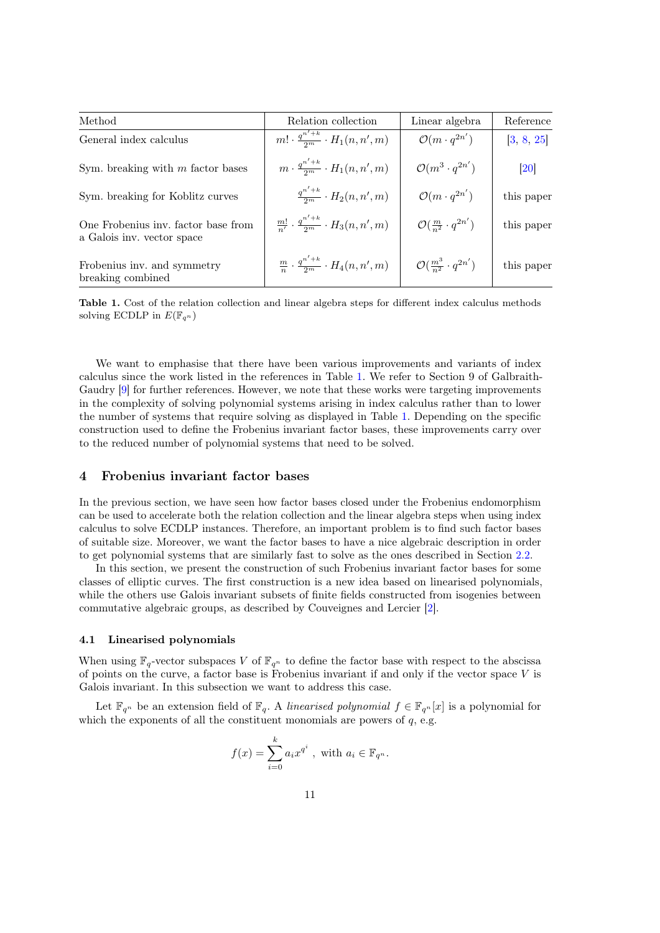| Method                                                            | Relation collection                                         | Linear algebra                              | Reference         |  |
|-------------------------------------------------------------------|-------------------------------------------------------------|---------------------------------------------|-------------------|--|
| General index calculus                                            | $m! \cdot \frac{q^{n'+k}}{2m} \cdot H_1(n,n',m)$            | $\mathcal{O}(m \cdot q^{2n'})$              | [3, 8, 25]        |  |
| Sym. breaking with $m$ factor bases                               | $m\cdot \frac{q^{n'+k}}{2m}\cdot H_1(n,n',m)$               | $\mathcal{O}(m^3 \cdot q^{2n'})$            | $\left[20\right]$ |  |
| Sym. breaking for Koblitz curves                                  | $\frac{q^{n'+k}}{2^m} \cdot H_2(n,n',m)$                    | $\mathcal{O}(m \cdot q^{2n'})$              | this paper        |  |
| One Frobenius inv. factor base from<br>a Galois inv. vector space | $\frac{m!}{n!} \cdot \frac{q^{n'+k}}{2m} \cdot H_3(n,n',m)$ | $\mathcal{O}(\frac{m}{n^2} \cdot q^{2n'})$  | this paper        |  |
| Frobenius inv. and symmetry<br>breaking combined                  | $\frac{m}{n} \cdot \frac{q^{n'+k}}{2m} \cdot H_4(n,n',m)$   | $\mathcal{O}(\frac{m^3}{n^2}\cdot q^{2n'})$ | this paper        |  |

<span id="page-11-1"></span>Table 1. Cost of the relation collection and linear algebra steps for different index calculus methods solving ECDLP in  $E(\mathbb{F}_{q^n})$ 

We want to emphasise that there have been various improvements and variants of index calculus since the work listed in the references in Table [1.](#page-11-1) We refer to Section 9 of Galbraith-Gaudry [\[9\]](#page-19-0) for further references. However, we note that these works were targeting improvements in the complexity of solving polynomial systems arising in index calculus rather than to lower the number of systems that require solving as displayed in Table [1.](#page-11-1) Depending on the specific construction used to define the Frobenius invariant factor bases, these improvements carry over to the reduced number of polynomial systems that need to be solved.

# <span id="page-11-0"></span>4 Frobenius invariant factor bases

In the previous section, we have seen how factor bases closed under the Frobenius endomorphism can be used to accelerate both the relation collection and the linear algebra steps when using index calculus to solve ECDLP instances. Therefore, an important problem is to find such factor bases of suitable size. Moreover, we want the factor bases to have a nice algebraic description in order to get polynomial systems that are similarly fast to solve as the ones described in Section [2.2.](#page-4-3)

In this section, we present the construction of such Frobenius invariant factor bases for some classes of elliptic curves. The first construction is a new idea based on linearised polynomials, while the others use Galois invariant subsets of finite fields constructed from isogenies between commutative algebraic groups, as described by Couveignes and Lercier [\[2\]](#page-19-8).

#### 4.1 Linearised polynomials

When using  $\mathbb{F}_{q}$ -vector subspaces V of  $\mathbb{F}_{q^n}$  to define the factor base with respect to the abscissa of points on the curve, a factor base is Frobenius invariant if and only if the vector space  $V$  is Galois invariant. In this subsection we want to address this case.

Let  $\mathbb{F}_{q^n}$  be an extension field of  $\mathbb{F}_q$ . A linearised polynomial  $f \in \mathbb{F}_{q^n}[x]$  is a polynomial for which the exponents of all the constituent monomials are powers of  $q$ , e.g.

$$
f(x) = \sum_{i=0}^{k} a_i x^{q^i} , \text{ with } a_i \in \mathbb{F}_{q^n}.
$$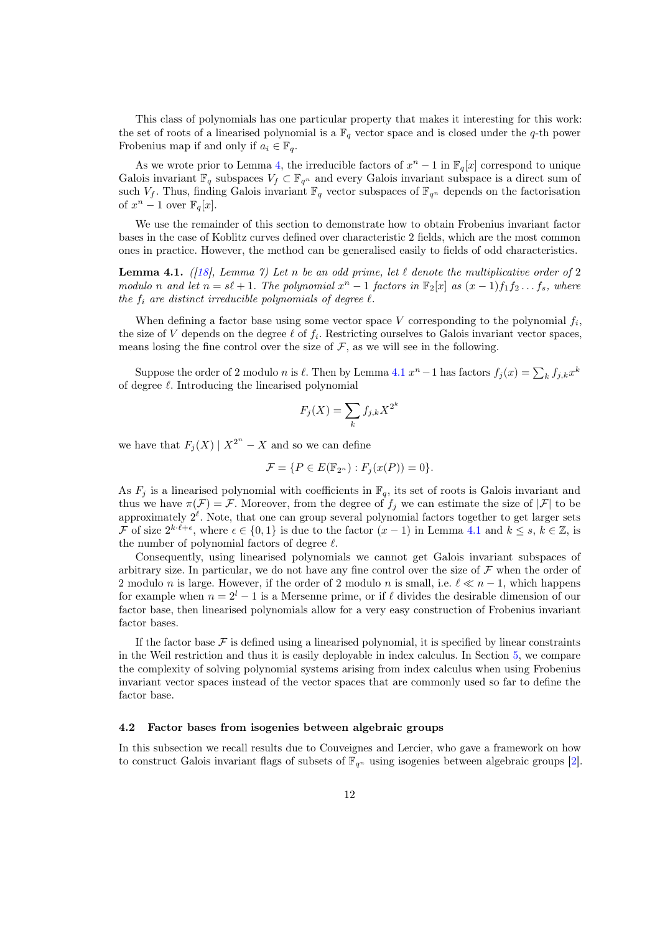This class of polynomials has one particular property that makes it interesting for this work: the set of roots of a linearised polynomial is a  $\mathbb{F}_q$  vector space and is closed under the q-th power Frobenius map if and only if  $a_i \in \mathbb{F}_q$ .

As we wrote prior to Lemma [4,](#page-9-1) the irreducible factors of  $x^n - 1$  in  $\mathbb{F}_q[x]$  correspond to unique Galois invariant  $\mathbb{F}_q$  subspaces  $V_f \subset \mathbb{F}_{q^n}$  and every Galois invariant subspace is a direct sum of such  $V_f$ . Thus, finding Galois invariant  $\mathbb{F}_q$  vector subspaces of  $\mathbb{F}_{q^n}$  depends on the factorisation of  $x^n - 1$  over  $\mathbb{F}_q[x]$ .

We use the remainder of this section to demonstrate how to obtain Frobenius invariant factor bases in the case of Koblitz curves defined over characteristic 2 fields, which are the most common ones in practice. However, the method can be generalised easily to fields of odd characteristics.

**Lemma 4.1.** ([\[18\]](#page-20-18), Lemma 7) Let n be an odd prime, let  $\ell$  denote the multiplicative order of 2 modulo n and let  $n = s\ell + 1$ . The polynomial  $x^n - 1$  factors in  $\mathbb{F}_2[x]$  as  $(x - 1)f_1f_2 \dots f_s$ , where the  $f_i$  are distinct irreducible polynomials of degree  $\ell$ .

When defining a factor base using some vector space V corresponding to the polynomial  $f_i$ , the size of V depends on the degree  $\ell$  of  $f_i$ . Restricting ourselves to Galois invariant vector spaces, means losing the fine control over the size of  $\mathcal F$ , as we will see in the following.

Suppose the order of 2 modulo *n* is  $\ell$ . Then by Lemma [4.1](#page-7-1)  $x^n - 1$  has factors  $f_j(x) = \sum_k f_{j,k} x^k$ of degree  $\ell$ . Introducing the linearised polynomial

$$
F_j(X) = \sum_k f_{j,k} X^{2^k}
$$

we have that  $F_j(X) | X^{2^n} - X$  and so we can define

$$
\mathcal{F} = \{ P \in E(\mathbb{F}_{2^n}) : F_j(x(P)) = 0 \}.
$$

As  $F_j$  is a linearised polynomial with coefficients in  $\mathbb{F}_q$ , its set of roots is Galois invariant and thus we have  $\pi(\mathcal{F}) = \mathcal{F}$ . Moreover, from the degree of  $f_j$  we can estimate the size of  $|\mathcal{F}|$  to be approximately  $2^{\ell}$ . Note, that one can group several polynomial factors together to get larger sets *F* of size  $2^{k \cdot \ell + \epsilon}$ , where  $\epsilon \in \{0, 1\}$  is due to the factor  $(x - 1)$  in Lemma [4.1](#page-7-1) and  $k \leq s, k \in \mathbb{Z}$ , is the number of polynomial factors of degree  $\ell$ .

Consequently, using linearised polynomials we cannot get Galois invariant subspaces of arbitrary size. In particular, we do not have any fine control over the size of  $\mathcal F$  when the order of 2 modulo *n* is large. However, if the order of 2 modulo *n* is small, i.e.  $\ell \ll n-1$ , which happens for example when  $n = 2^{l} - 1$  is a Mersenne prime, or if  $\ell$  divides the desirable dimension of our factor base, then linearised polynomials allow for a very easy construction of Frobenius invariant factor bases.

If the factor base  $\mathcal F$  is defined using a linearised polynomial, it is specified by linear constraints in the Weil restriction and thus it is easily deployable in index calculus. In Section [5,](#page-16-0) we compare the complexity of solving polynomial systems arising from index calculus when using Frobenius invariant vector spaces instead of the vector spaces that are commonly used so far to define the factor base.

#### 4.2 Factor bases from isogenies between algebraic groups

In this subsection we recall results due to Couveignes and Lercier, who gave a framework on how to construct Galois invariant flags of subsets of  $\mathbb{F}_{q^n}$  using isogenies between algebraic groups [\[2\]](#page-19-8).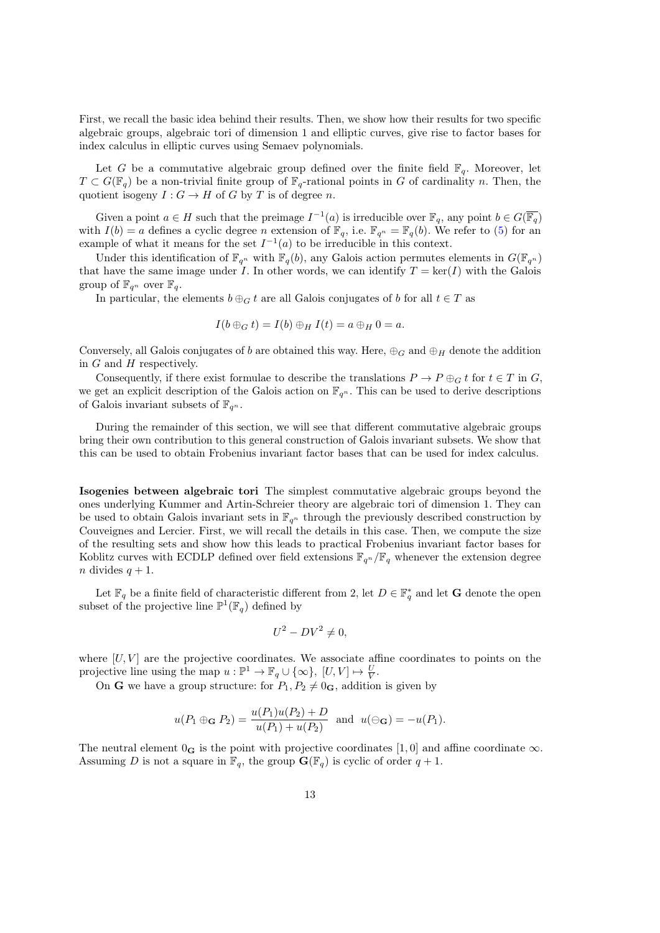First, we recall the basic idea behind their results. Then, we show how their results for two specific algebraic groups, algebraic tori of dimension 1 and elliptic curves, give rise to factor bases for index calculus in elliptic curves using Semaev polynomials.

Let G be a commutative algebraic group defined over the finite field  $\mathbb{F}_q$ . Moreover, let  $T \subset G(\mathbb{F}_q)$  be a non-trivial finite group of  $\mathbb{F}_q$ -rational points in G of cardinality n. Then, the quotient isogeny  $I: G \to H$  of G by T is of degree n.

Given a point  $a \in H$  such that the preimage  $I^{-1}(a)$  is irreducible over  $\mathbb{F}_q$ , any point  $b \in G(\overline{\mathbb{F}_q})$ with  $I(b) = a$  defines a cyclic degree *n* extension of  $\mathbb{F}_q$ , i.e.  $\mathbb{F}_{q^n} = \mathbb{F}_q(b)$ . We refer to [\(5\)](#page-14-0) for an example of what it means for the set  $I^{-1}(a)$  to be irreducible in this context.

Under this identification of  $\mathbb{F}_{q^n}$  with  $\mathbb{F}_q(b)$ , any Galois action permutes elements in  $G(\mathbb{F}_{q^n})$ that have the same image under I. In other words, we can identify  $T = \text{ker}(I)$  with the Galois group of  $\mathbb{F}_{q^n}$  over  $\mathbb{F}_q$ .

In particular, the elements  $b \oplus_G t$  are all Galois conjugates of b for all  $t \in T$  as

$$
I(b \oplus_G t) = I(b) \oplus_H I(t) = a \oplus_H 0 = a.
$$

Conversely, all Galois conjugates of b are obtained this way. Here,  $\bigoplus_G$  and  $\bigoplus_H$  denote the addition in  $G$  and  $H$  respectively.

Consequently, if there exist formulae to describe the translations  $P \to P \oplus_G t$  for  $t \in T$  in G, we get an explicit description of the Galois action on  $\mathbb{F}_{q^n}$ . This can be used to derive descriptions of Galois invariant subsets of  $\mathbb{F}_{q^n}$ .

During the remainder of this section, we will see that different commutative algebraic groups bring their own contribution to this general construction of Galois invariant subsets. We show that this can be used to obtain Frobenius invariant factor bases that can be used for index calculus.

Isogenies between algebraic tori The simplest commutative algebraic groups beyond the ones underlying Kummer and Artin-Schreier theory are algebraic tori of dimension 1. They can be used to obtain Galois invariant sets in  $\mathbb{F}_{q^n}$  through the previously described construction by Couveignes and Lercier. First, we will recall the details in this case. Then, we compute the size of the resulting sets and show how this leads to practical Frobenius invariant factor bases for Koblitz curves with ECDLP defined over field extensions  $\mathbb{F}_{q^n}/\mathbb{F}_q$  whenever the extension degree *n* divides  $q + 1$ .

Let  $\mathbb{F}_q$  be a finite field of characteristic different from 2, let  $D \in \mathbb{F}_q^*$  and let G denote the open subset of the projective line  $\mathbb{P}^1(\mathbb{F}_q)$  defined by

$$
U^2 - DV^2 \neq 0,
$$

where  $[U, V]$  are the projective coordinates. We associate affine coordinates to points on the projective line using the map  $u : \mathbb{P}^1 \to \mathbb{F}_q \cup \{\infty\}, [U, V] \mapsto \frac{U}{V}$ .

On **G** we have a group structure: for  $P_1, P_2 \neq 0_G$ , addition is given by

$$
u(P_1 \oplus_{\mathbf{G}} P_2) = \frac{u(P_1)u(P_2) + D}{u(P_1) + u(P_2)}
$$
 and  $u(\ominus_{\mathbf{G}}) = -u(P_1)$ .

The neutral element  $0_{\mathbf{G}}$  is the point with projective coordinates [1,0] and affine coordinate  $\infty$ . Assuming D is not a square in  $\mathbb{F}_q$ , the group  $\mathbf{G}(\mathbb{F}_q)$  is cyclic of order  $q + 1$ .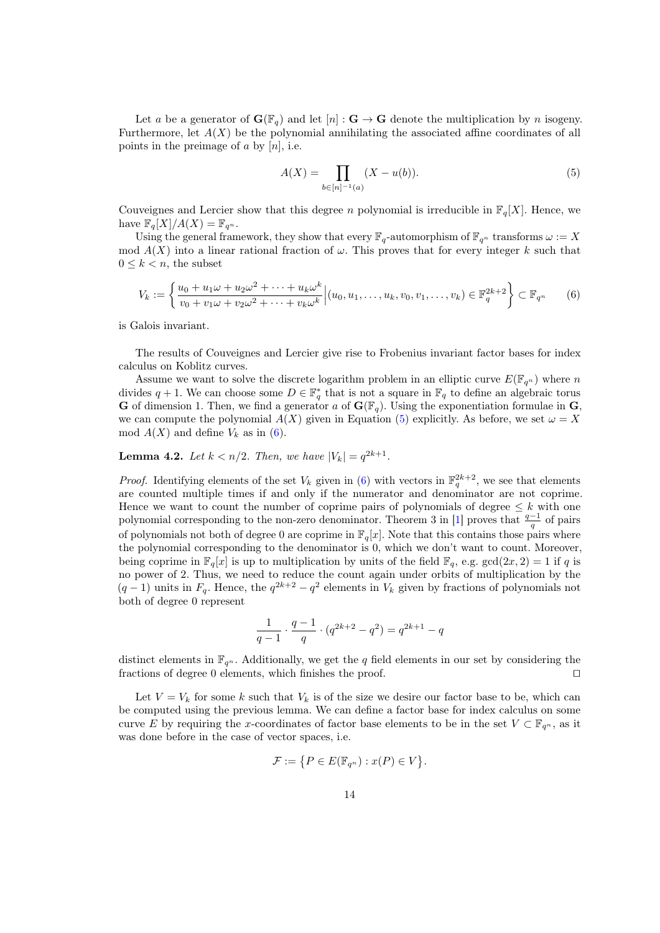Let a be a generator of  $\mathbf{G}(\mathbb{F}_q)$  and let  $[n]: \mathbf{G} \to \mathbf{G}$  denote the multiplication by n isogeny. Furthermore, let  $A(X)$  be the polynomial annihilating the associated affine coordinates of all points in the preimage of  $a$  by  $[n]$ , i.e.

<span id="page-14-0"></span>
$$
A(X) = \prod_{b \in [n]^{-1}(a)} (X - u(b)).
$$
 (5)

Couveignes and Lercier show that this degree *n* polynomial is irreducible in  $\mathbb{F}_q[X]$ . Hence, we have  $\mathbb{F}_q[X]/A(X) = \mathbb{F}_{q^n}$ .

Using the general framework, they show that every  $\mathbb{F}_q$ -automorphism of  $\mathbb{F}_{q^n}$  transforms  $\omega := X$ mod  $A(X)$  into a linear rational fraction of  $\omega$ . This proves that for every integer k such that  $0 \leq k \leq n$ , the subset

<span id="page-14-1"></span>
$$
V_k := \left\{ \frac{u_0 + u_1 \omega + u_2 \omega^2 + \dots + u_k \omega^k}{v_0 + v_1 \omega + v_2 \omega^2 + \dots + v_k \omega^k} \Big| (u_0, u_1, \dots, u_k, v_0, v_1, \dots, v_k) \in \mathbb{F}_q^{2k+2} \right\} \subset \mathbb{F}_q^n \tag{6}
$$

is Galois invariant.

The results of Couveignes and Lercier give rise to Frobenius invariant factor bases for index calculus on Koblitz curves.

Assume we want to solve the discrete logarithm problem in an elliptic curve  $E(\mathbb{F}_{q^n})$  where n divides  $q + 1$ . We can choose some  $D \in \mathbb{F}_q^*$  that is not a square in  $\mathbb{F}_q$  to define an algebraic torus **G** of dimension 1. Then, we find a generator a of  $\mathbf{G}(\mathbb{F}_q)$ . Using the exponentiation formulae in **G**, we can compute the polynomial  $A(X)$  given in Equation [\(5\)](#page-14-0) explicitly. As before, we set  $\omega = X$ mod  $A(X)$  and define  $V_k$  as in [\(6\)](#page-14-1).

**Lemma 4.2.** Let  $k < n/2$ . Then, we have  $|V_k| = q^{2k+1}$ .

*Proof.* Identifying elements of the set  $V_k$  given in [\(6\)](#page-14-1) with vectors in  $\mathbb{F}_q^{2k+2}$ , we see that elements are counted multiple times if and only if the numerator and denominator are not coprime. Hence we want to count the number of coprime pairs of polynomials of degree  $\leq k$  with one polynomial corresponding to the non-zero denominator. Theorem 3 in [\[1\]](#page-19-9) proves that  $\frac{q-1}{q}$  of pairs of polynomials not both of degree 0 are coprime in  $\mathbb{F}_q[x]$ . Note that this contains those pairs where the polynomial corresponding to the denominator is 0, which we don't want to count. Moreover, being coprime in  $\mathbb{F}_q[x]$  is up to multiplication by units of the field  $\mathbb{F}_q$ , e.g. gcd $(2x, 2) = 1$  if q is no power of 2. Thus, we need to reduce the count again under orbits of multiplication by the  $(q-1)$  units in  $F_q$ . Hence, the  $q^{2k+2} - q^2$  elements in  $V_k$  given by fractions of polynomials not both of degree 0 represent

$$
\frac{1}{q-1} \cdot \frac{q-1}{q} \cdot (q^{2k+2} - q^2) = q^{2k+1} - q
$$

distinct elements in  $\mathbb{F}_{q^n}$ . Additionally, we get the q field elements in our set by considering the fractions of degree 0 elements, which finishes the proof. □

Let  $V = V_k$  for some k such that  $V_k$  is of the size we desire our factor base to be, which can be computed using the previous lemma. We can define a factor base for index calculus on some curve E by requiring the x-coordinates of factor base elements to be in the set  $V \subset \mathbb{F}_{q^n}$ , as it was done before in the case of vector spaces, i.e.

$$
\mathcal{F} := \{ P \in E(\mathbb{F}_{q^n}) : x(P) \in V \}.
$$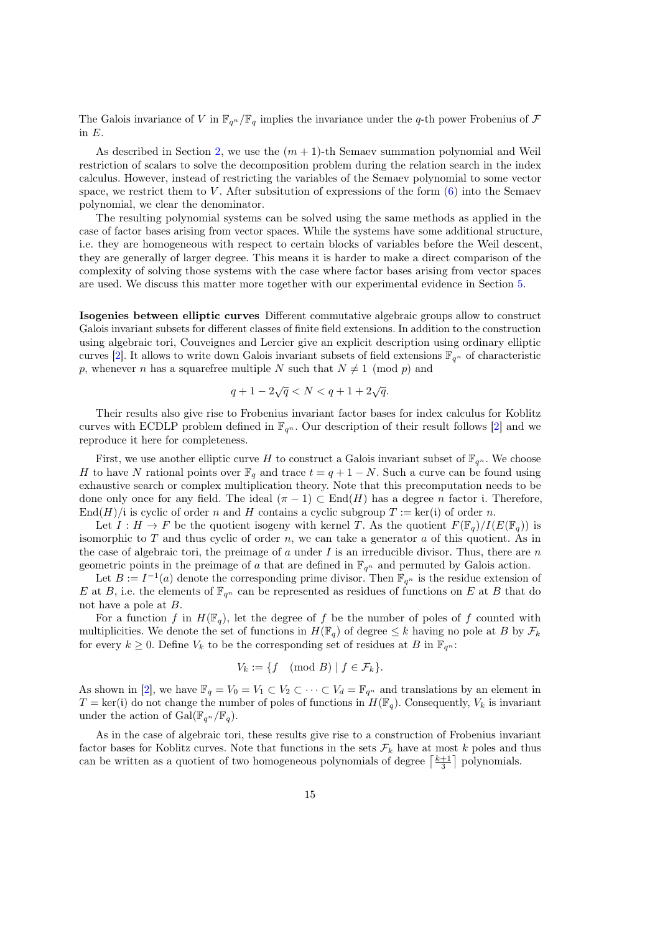The Galois invariance of V in  $\mathbb{F}_{q^n}/\mathbb{F}_q$  implies the invariance under the q-th power Frobenius of  $\mathcal F$ in  $E$ .

As described in Section [2,](#page-3-0) we use the  $(m + 1)$ -th Semaev summation polynomial and Weil restriction of scalars to solve the decomposition problem during the relation search in the index calculus. However, instead of restricting the variables of the Semaev polynomial to some vector space, we restrict them to  $V$ . After subsitution of expressions of the form  $(6)$  into the Semaev polynomial, we clear the denominator.

The resulting polynomial systems can be solved using the same methods as applied in the case of factor bases arising from vector spaces. While the systems have some additional structure, i.e. they are homogeneous with respect to certain blocks of variables before the Weil descent, they are generally of larger degree. This means it is harder to make a direct comparison of the complexity of solving those systems with the case where factor bases arising from vector spaces are used. We discuss this matter more together with our experimental evidence in Section [5.](#page-16-0)

Isogenies between elliptic curves Different commutative algebraic groups allow to construct Galois invariant subsets for different classes of finite field extensions. In addition to the construction using algebraic tori, Couveignes and Lercier give an explicit description using ordinary elliptic curves [\[2\]](#page-19-8). It allows to write down Galois invariant subsets of field extensions  $\mathbb{F}_{q^n}$  of characteristic p, whenever *n* has a squarefree multiple N such that  $N \neq 1 \pmod{p}$  and

$$
q + 1 - 2\sqrt{q} < N < q + 1 + 2\sqrt{q}.
$$

Their results also give rise to Frobenius invariant factor bases for index calculus for Koblitz curves with ECDLP problem defined in  $\mathbb{F}_{q^n}$ . Our description of their result follows [\[2\]](#page-19-8) and we reproduce it here for completeness.

First, we use another elliptic curve H to construct a Galois invariant subset of  $\mathbb{F}_{q^n}$ . We choose H to have N rational points over  $\mathbb{F}_q$  and trace  $t = q + 1 - N$ . Such a curve can be found using exhaustive search or complex multiplication theory. Note that this precomputation needs to be done only once for any field. The ideal  $(\pi - 1) \subset End(H)$  has a degree *n* factor i. Therefore, End(H)/i is cyclic of order n and H contains a cyclic subgroup  $T := \text{ker}(\mathfrak{i})$  of order n.

Let  $I : H \to F$  be the quotient isogeny with kernel T. As the quotient  $F(\mathbb{F}_q)/I(E(\mathbb{F}_q))$  is isomorphic to  $T$  and thus cyclic of order  $n$ , we can take a generator  $a$  of this quotient. As in the case of algebraic tori, the preimage of  $a$  under  $I$  is an irreducible divisor. Thus, there are  $n$ geometric points in the preimage of a that are defined in  $\mathbb{F}_{q^n}$  and permuted by Galois action.

Let  $B := I^{-1}(a)$  denote the corresponding prime divisor. Then  $\mathbb{F}_{q^n}$  is the residue extension of E at B, i.e. the elements of  $\mathbb{F}_{q^n}$  can be represented as residues of functions on E at B that do not have a pole at  $B$ .

For a function f in  $H(\mathbb{F}_q)$ , let the degree of f be the number of poles of f counted with multiplicities. We denote the set of functions in  $H(\mathbb{F}_q)$  of degree  $\leq k$  having no pole at B by  $\mathcal{F}_k$ for every  $k \geq 0$ . Define  $V_k$  to be the corresponding set of residues at B in  $\mathbb{F}_{q^n}$ :

$$
V_k := \{ f \pmod{B} \mid f \in \mathcal{F}_k \}.
$$

As shown in [\[2\]](#page-19-8), we have  $\mathbb{F}_q = V_0 = V_1 \subset V_2 \subset \cdots \subset V_d = \mathbb{F}_{q^n}$  and translations by an element in  $T = \text{ker}(i)$  do not change the number of poles of functions in  $H(\mathbb{F}_q)$ . Consequently,  $V_k$  is invariant under the action of  $Gal(\mathbb{F}_{q^n}/\mathbb{F}_q)$ .

As in the case of algebraic tori, these results give rise to a construction of Frobenius invariant factor bases for Koblitz curves. Note that functions in the sets  $\mathcal{F}_k$  have at most k poles and thus can be written as a quotient of two homogeneous polynomials of degree  $\left\lceil \frac{k+1}{3} \right\rceil$  polynomials.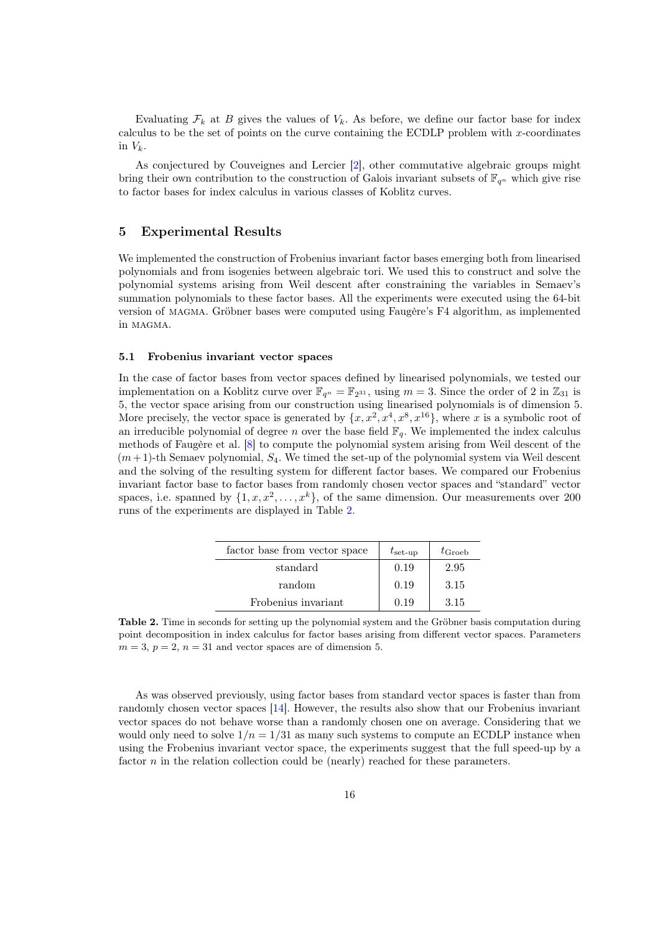Evaluating  $\mathcal{F}_k$  at B gives the values of  $V_k$ . As before, we define our factor base for index calculus to be the set of points on the curve containing the ECDLP problem with  $x$ -coordinates in  $V_k$ .

As conjectured by Couveignes and Lercier [\[2\]](#page-19-8), other commutative algebraic groups might bring their own contribution to the construction of Galois invariant subsets of  $\mathbb{F}_{q^n}$  which give rise to factor bases for index calculus in various classes of Koblitz curves.

# <span id="page-16-0"></span>5 Experimental Results

We implemented the construction of Frobenius invariant factor bases emerging both from linearised polynomials and from isogenies between algebraic tori. We used this to construct and solve the polynomial systems arising from Weil descent after constraining the variables in Semaev's summation polynomials to these factor bases. All the experiments were executed using the 64-bit version of magma. Gröbner bases were computed using Faugère's F4 algorithm, as implemented in magma.

#### 5.1 Frobenius invariant vector spaces

In the case of factor bases from vector spaces defined by linearised polynomials, we tested our implementation on a Koblitz curve over  $\mathbb{F}_{q^n} = \mathbb{F}_{2^{31}}$ , using  $m = 3$ . Since the order of 2 in  $\mathbb{Z}_{31}$  is 5, the vector space arising from our construction using linearised polynomials is of dimension 5. More precisely, the vector space is generated by  $\{x, x^2, x^4, x^8, x^{16}\}$ , where x is a symbolic root of an irreducible polynomial of degree *n* over the base field  $\mathbb{F}_q$ . We implemented the index calculus methods of Faugère et al. [\[8\]](#page-19-7) to compute the polynomial system arising from Weil descent of the  $(m+1)$ -th Semaev polynomial,  $S_4$ . We timed the set-up of the polynomial system via Weil descent and the solving of the resulting system for different factor bases. We compared our Frobenius invariant factor base to factor bases from randomly chosen vector spaces and "standard" vector spaces, i.e. spanned by  $\{1, x, x^2, \ldots, x^k\}$ , of the same dimension. Our measurements over 200 runs of the experiments are displayed in Table [2.](#page-16-1)

| factor base from vector space | $t_{\rm set-up}$ | $t_{\rm Groeb}$ |  |
|-------------------------------|------------------|-----------------|--|
| standard                      | 0.19             | 2.95            |  |
| random                        | 0.19             | 3.15            |  |
| Frobenius invariant           | 0.19             | 3.15            |  |

<span id="page-16-1"></span>Table 2. Time in seconds for setting up the polynomial system and the Gröbner basis computation during point decomposition in index calculus for factor bases arising from different vector spaces. Parameters  $m = 3, p = 2, n = 31$  and vector spaces are of dimension 5.

As was observed previously, using factor bases from standard vector spaces is faster than from randomly chosen vector spaces [\[14\]](#page-20-11). However, the results also show that our Frobenius invariant vector spaces do not behave worse than a randomly chosen one on average. Considering that we would only need to solve  $1/n = 1/31$  as many such systems to compute an ECDLP instance when using the Frobenius invariant vector space, the experiments suggest that the full speed-up by a factor  $n$  in the relation collection could be (nearly) reached for these parameters.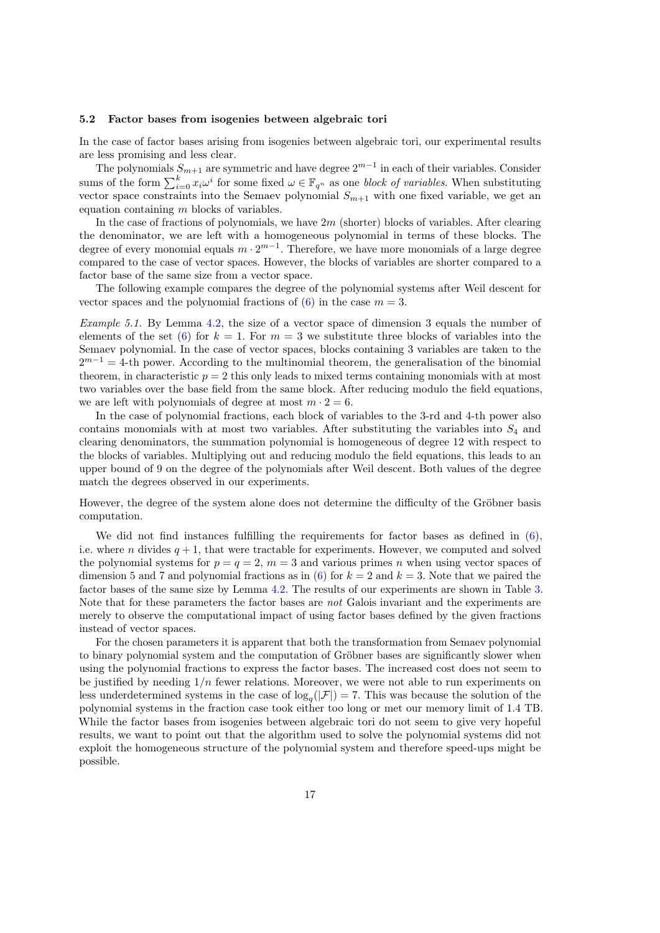#### 5.2 Factor bases from isogenies between algebraic tori

In the case of factor bases arising from isogenies between algebraic tori, our experimental results are less promising and less clear.

The polynomials  $S_{m+1}$  are symmetric and have degree  $2^{m-1}$  in each of their variables. Consider sums of the form  $\sum_{i=0}^{k} x_i \omega^i$  for some fixed  $\omega \in \mathbb{F}_{q^n}$  as one block of variables. When substituting vector space constraints into the Semaev polynomial  $S_{m+1}$  with one fixed variable, we get an equation containing  $m$  blocks of variables.

In the case of fractions of polynomials, we have  $2m$  (shorter) blocks of variables. After clearing the denominator, we are left with a homogeneous polynomial in terms of these blocks. The degree of every monomial equals  $m \cdot 2^{m-1}$ . Therefore, we have more monomials of a large degree compared to the case of vector spaces. However, the blocks of variables are shorter compared to a factor base of the same size from a vector space.

The following example compares the degree of the polynomial systems after Weil descent for vector spaces and the polynomial fractions of  $(6)$  in the case  $m = 3$ .

Example 5.1. By Lemma [4.2,](#page-4-1) the size of a vector space of dimension 3 equals the number of elements of the set [\(6\)](#page-14-1) for  $k = 1$ . For  $m = 3$  we substitute three blocks of variables into the Semaev polynomial. In the case of vector spaces, blocks containing 3 variables are taken to the  $2^{m-1} = 4$ -th power. According to the multinomial theorem, the generalisation of the binomial theorem, in characteristic  $p = 2$  this only leads to mixed terms containing monomials with at most two variables over the base field from the same block. After reducing modulo the field equations, we are left with polynomials of degree at most  $m \cdot 2 = 6$ .

In the case of polynomial fractions, each block of variables to the 3-rd and 4-th power also contains monomials with at most two variables. After substituting the variables into  $S_4$  and clearing denominators, the summation polynomial is homogeneous of degree 12 with respect to the blocks of variables. Multiplying out and reducing modulo the field equations, this leads to an upper bound of 9 on the degree of the polynomials after Weil descent. Both values of the degree match the degrees observed in our experiments.

However, the degree of the system alone does not determine the difficulty of the Gröbner basis computation.

We did not find instances fulfilling the requirements for factor bases as defined in [\(6\)](#page-14-1), i.e. where *n* divides  $q + 1$ , that were tractable for experiments. However, we computed and solved the polynomial systems for  $p = q = 2$ ,  $m = 3$  and various primes *n* when using vector spaces of dimension 5 and 7 and polynomial fractions as in [\(6\)](#page-14-1) for  $k = 2$  and  $k = 3$ . Note that we paired the factor bases of the same size by Lemma [4.2.](#page-4-1) The results of our experiments are shown in Table [3.](#page-18-1) Note that for these parameters the factor bases are not Galois invariant and the experiments are merely to observe the computational impact of using factor bases defined by the given fractions instead of vector spaces.

For the chosen parameters it is apparent that both the transformation from Semaev polynomial to binary polynomial system and the computation of Gröbner bases are significantly slower when using the polynomial fractions to express the factor bases. The increased cost does not seem to be justified by needing  $1/n$  fewer relations. Moreover, we were not able to run experiments on less underdetermined systems in the case of  $\log_q(|\mathcal{F}|) = 7$ . This was because the solution of the polynomial systems in the fraction case took either too long or met our memory limit of 1.4 TB. While the factor bases from isogenies between algebraic tori do not seem to give very hopeful results, we want to point out that the algorithm used to solve the polynomial systems did not exploit the homogeneous structure of the polynomial system and therefore speed-ups might be possible.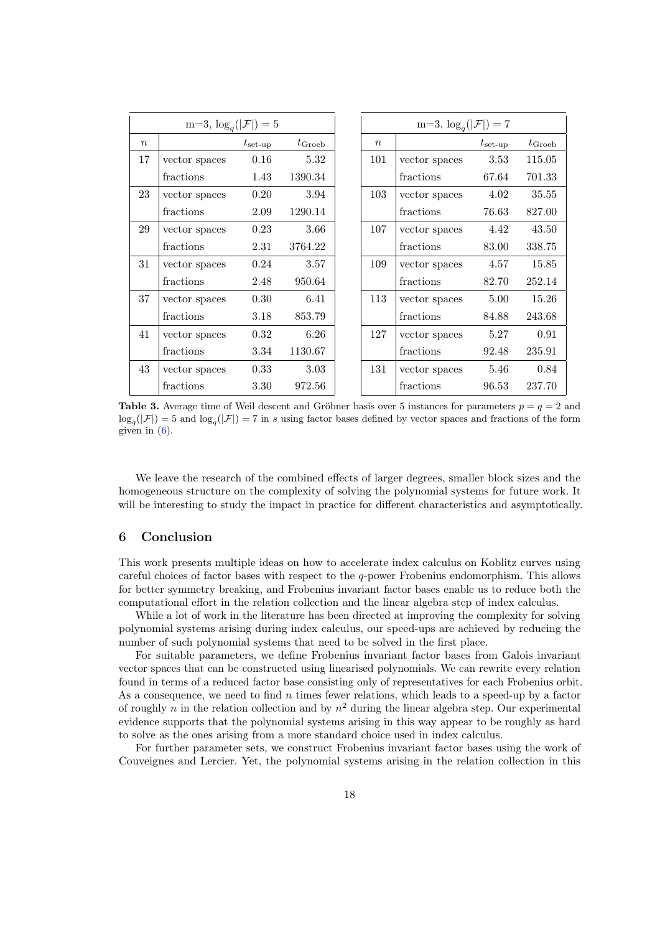|                  | $m=3, \log_a( \mathcal{F} )=5$ |                  |                 |                  | $m=3, \log_q( \mathcal{F} )=7$ |                  |                 |
|------------------|--------------------------------|------------------|-----------------|------------------|--------------------------------|------------------|-----------------|
| $\boldsymbol{n}$ |                                | $t_{\rm set-up}$ | $t_{\rm Groeb}$ | $\boldsymbol{n}$ |                                | $t_{\rm set-up}$ | $t_{\rm Groeb}$ |
| 17               | vector spaces                  | 0.16             | 5.32            | 101              | vector spaces                  | 3.53             | 115.05          |
|                  | fractions                      | 1.43             | 1390.34         |                  | fractions                      | 67.64            | 701.33          |
| 23               | vector spaces                  | 0.20             | 3.94            | 103              | vector spaces                  | 4.02             | 35.55           |
|                  | fractions                      | 2.09             | 1290.14         |                  | fractions                      | 76.63            | 827.00          |
| 29               | vector spaces                  | 0.23             | 3.66            | 107              | vector spaces                  | 4.42             | 43.50           |
|                  | fractions                      | 2.31             | 3764.22         |                  | fractions                      | 83.00            | 338.75          |
| 31               | vector spaces                  | 0.24             | 3.57            | 109              | vector spaces                  | 4.57             | 15.85           |
|                  | fractions                      | 2.48             | 950.64          |                  | fractions                      | 82.70            | 252.14          |
| 37               | vector spaces                  | 0.30             | 6.41            | 113              | vector spaces                  | 5.00             | 15.26           |
|                  | fractions                      | 3.18             | 853.79          |                  | fractions                      | 84.88            | 243.68          |
| 41               | vector spaces                  | 0.32             | 6.26            | 127              | vector spaces                  | 5.27             | 0.91            |
|                  | fractions                      | 3.34             | 1130.67         |                  | fractions                      | 92.48            | 235.91          |
| 43               | vector spaces                  | 0.33             | 3.03            | 131              | vector spaces                  | 5.46             | 0.84            |
|                  | fractions                      | 3.30             | 972.56          |                  | fractions                      | 96.53            | 237.70          |

<span id="page-18-1"></span>**Table 3.** Average time of Weil descent and Gröbner basis over 5 instances for parameters  $p = q = 2$  and  $\log_q(|\mathcal{F}|) = 5$  and  $\log_q(|\mathcal{F}|) = 7$  in s using factor bases defined by vector spaces and fractions of the form given in  $(6)$ .

We leave the research of the combined effects of larger degrees, smaller block sizes and the homogeneous structure on the complexity of solving the polynomial systems for future work. It will be interesting to study the impact in practice for different characteristics and asymptotically.

# <span id="page-18-0"></span>6 Conclusion

This work presents multiple ideas on how to accelerate index calculus on Koblitz curves using careful choices of factor bases with respect to the  $q$ -power Frobenius endomorphism. This allows for better symmetry breaking, and Frobenius invariant factor bases enable us to reduce both the computational effort in the relation collection and the linear algebra step of index calculus.

While a lot of work in the literature has been directed at improving the complexity for solving polynomial systems arising during index calculus, our speed-ups are achieved by reducing the number of such polynomial systems that need to be solved in the first place.

For suitable parameters, we define Frobenius invariant factor bases from Galois invariant vector spaces that can be constructed using linearised polynomials. We can rewrite every relation found in terms of a reduced factor base consisting only of representatives for each Frobenius orbit. As a consequence, we need to find  $n$  times fewer relations, which leads to a speed-up by a factor of roughly n in the relation collection and by  $n^2$  during the linear algebra step. Our experimental evidence supports that the polynomial systems arising in this way appear to be roughly as hard to solve as the ones arising from a more standard choice used in index calculus.

For further parameter sets, we construct Frobenius invariant factor bases using the work of Couveignes and Lercier. Yet, the polynomial systems arising in the relation collection in this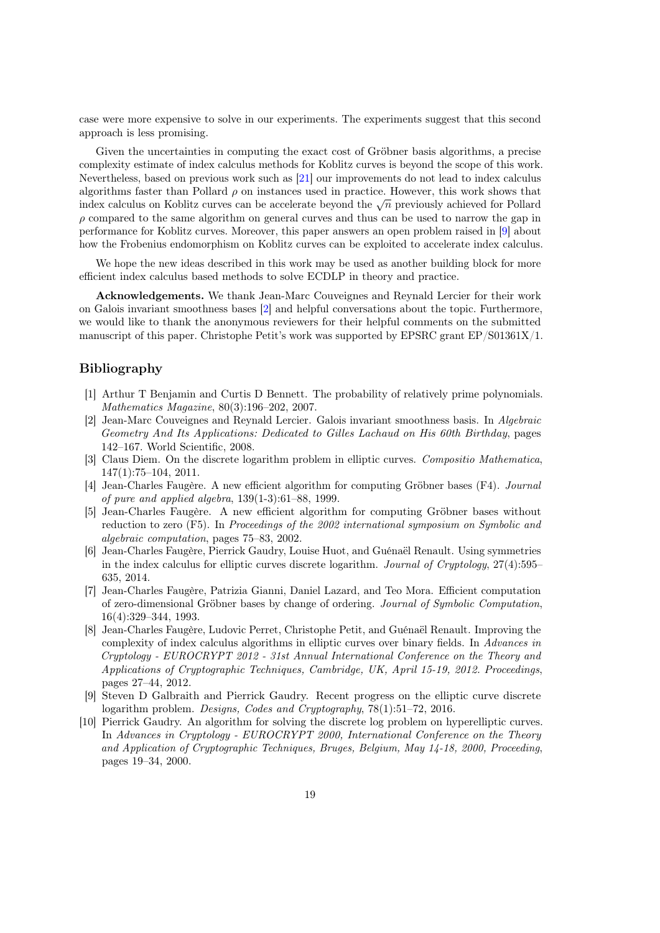case were more expensive to solve in our experiments. The experiments suggest that this second approach is less promising.

Given the uncertainties in computing the exact cost of Gröbner basis algorithms, a precise complexity estimate of index calculus methods for Koblitz curves is beyond the scope of this work. Nevertheless, based on previous work such as [\[21\]](#page-20-19) our improvements do not lead to index calculus algorithms faster than Pollard  $\rho$  on instances used in practice. However, this work shows that algorithms faster than Fonard  $\rho$  on instances used in practice. However, this work shows that index calculus on Koblitz curves can be accelerate beyond the  $\sqrt{n}$  previously achieved for Pollard  $\rho$  compared to the same algorithm on general curves and thus can be used to narrow the gap in performance for Koblitz curves. Moreover, this paper answers an open problem raised in [\[9\]](#page-19-0) about how the Frobenius endomorphism on Koblitz curves can be exploited to accelerate index calculus.

We hope the new ideas described in this work may be used as another building block for more efficient index calculus based methods to solve ECDLP in theory and practice.

Acknowledgements. We thank Jean-Marc Couveignes and Reynald Lercier for their work on Galois invariant smoothness bases [\[2\]](#page-19-8) and helpful conversations about the topic. Furthermore, we would like to thank the anonymous reviewers for their helpful comments on the submitted manuscript of this paper. Christophe Petit's work was supported by EPSRC grant EP/S01361X/1.

# Bibliography

- <span id="page-19-9"></span>[1] Arthur T Benjamin and Curtis D Bennett. The probability of relatively prime polynomials. Mathematics Magazine, 80(3):196–202, 2007.
- <span id="page-19-8"></span>[2] Jean-Marc Couveignes and Reynald Lercier. Galois invariant smoothness basis. In Algebraic Geometry And Its Applications: Dedicated to Gilles Lachaud on His 60th Birthday, pages 142–167. World Scientific, 2008.
- <span id="page-19-2"></span>[3] Claus Diem. On the discrete logarithm problem in elliptic curves. Compositio Mathematica, 147(1):75–104, 2011.
- <span id="page-19-4"></span>[4] Jean-Charles Faugère. A new efficient algorithm for computing Gröbner bases (F4). Journal of pure and applied algebra, 139(1-3):61–88, 1999.
- <span id="page-19-5"></span>[5] Jean-Charles Faugère. A new efficient algorithm for computing Gröbner bases without reduction to zero (F5). In Proceedings of the 2002 international symposium on Symbolic and algebraic computation, pages 75–83, 2002.
- <span id="page-19-3"></span>[6] Jean-Charles Faugère, Pierrick Gaudry, Louise Huot, and Guénaël Renault. Using symmetries in the index calculus for elliptic curves discrete logarithm. Journal of Cryptology, 27(4):595– 635, 2014.
- <span id="page-19-6"></span>[7] Jean-Charles Faugère, Patrizia Gianni, Daniel Lazard, and Teo Mora. Efficient computation of zero-dimensional Gröbner bases by change of ordering. Journal of Symbolic Computation, 16(4):329–344, 1993.
- <span id="page-19-7"></span>[8] Jean-Charles Faugère, Ludovic Perret, Christophe Petit, and Guénaël Renault. Improving the complexity of index calculus algorithms in elliptic curves over binary fields. In Advances in Cryptology - EUROCRYPT 2012 - 31st Annual International Conference on the Theory and Applications of Cryptographic Techniques, Cambridge, UK, April 15-19, 2012. Proceedings, pages 27–44, 2012.
- <span id="page-19-0"></span>[9] Steven D Galbraith and Pierrick Gaudry. Recent progress on the elliptic curve discrete logarithm problem. Designs, Codes and Cryptography, 78(1):51–72, 2016.
- <span id="page-19-1"></span>[10] Pierrick Gaudry. An algorithm for solving the discrete log problem on hyperelliptic curves. In Advances in Cryptology - EUROCRYPT 2000, International Conference on the Theory and Application of Cryptographic Techniques, Bruges, Belgium, May 14-18, 2000, Proceeding, pages 19–34, 2000.